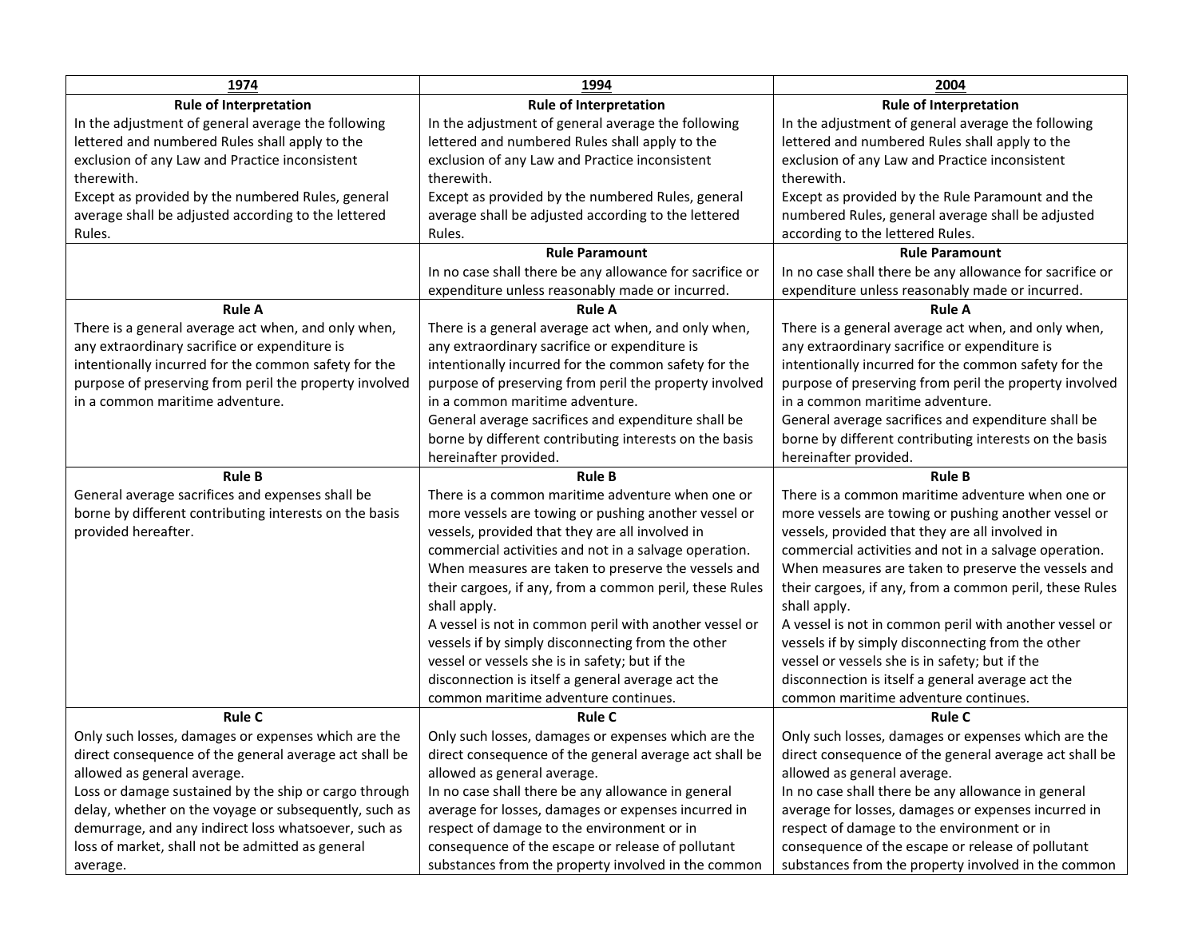| 1974                                                   | 1994                                                     | 2004                                                     |
|--------------------------------------------------------|----------------------------------------------------------|----------------------------------------------------------|
| <b>Rule of Interpretation</b>                          | <b>Rule of Interpretation</b>                            | <b>Rule of Interpretation</b>                            |
| In the adjustment of general average the following     | In the adjustment of general average the following       | In the adjustment of general average the following       |
| lettered and numbered Rules shall apply to the         | lettered and numbered Rules shall apply to the           | lettered and numbered Rules shall apply to the           |
| exclusion of any Law and Practice inconsistent         | exclusion of any Law and Practice inconsistent           | exclusion of any Law and Practice inconsistent           |
| therewith.                                             | therewith.                                               | therewith.                                               |
| Except as provided by the numbered Rules, general      | Except as provided by the numbered Rules, general        | Except as provided by the Rule Paramount and the         |
| average shall be adjusted according to the lettered    | average shall be adjusted according to the lettered      | numbered Rules, general average shall be adjusted        |
| Rules.                                                 | Rules.                                                   | according to the lettered Rules.                         |
|                                                        | <b>Rule Paramount</b>                                    | <b>Rule Paramount</b>                                    |
|                                                        | In no case shall there be any allowance for sacrifice or | In no case shall there be any allowance for sacrifice or |
|                                                        | expenditure unless reasonably made or incurred.          | expenditure unless reasonably made or incurred.          |
| <b>Rule A</b>                                          | <b>Rule A</b>                                            | <b>Rule A</b>                                            |
| There is a general average act when, and only when,    | There is a general average act when, and only when,      | There is a general average act when, and only when,      |
| any extraordinary sacrifice or expenditure is          | any extraordinary sacrifice or expenditure is            | any extraordinary sacrifice or expenditure is            |
| intentionally incurred for the common safety for the   | intentionally incurred for the common safety for the     | intentionally incurred for the common safety for the     |
| purpose of preserving from peril the property involved | purpose of preserving from peril the property involved   | purpose of preserving from peril the property involved   |
| in a common maritime adventure.                        | in a common maritime adventure.                          | in a common maritime adventure.                          |
|                                                        | General average sacrifices and expenditure shall be      | General average sacrifices and expenditure shall be      |
|                                                        | borne by different contributing interests on the basis   | borne by different contributing interests on the basis   |
|                                                        | hereinafter provided.                                    | hereinafter provided.                                    |
| <b>Rule B</b>                                          | <b>Rule B</b>                                            | <b>Rule B</b>                                            |
| General average sacrifices and expenses shall be       | There is a common maritime adventure when one or         | There is a common maritime adventure when one or         |
| borne by different contributing interests on the basis | more vessels are towing or pushing another vessel or     | more vessels are towing or pushing another vessel or     |
| provided hereafter.                                    | vessels, provided that they are all involved in          | vessels, provided that they are all involved in          |
|                                                        | commercial activities and not in a salvage operation.    | commercial activities and not in a salvage operation.    |
|                                                        | When measures are taken to preserve the vessels and      | When measures are taken to preserve the vessels and      |
|                                                        | their cargoes, if any, from a common peril, these Rules  | their cargoes, if any, from a common peril, these Rules  |
|                                                        | shall apply.                                             | shall apply.                                             |
|                                                        | A vessel is not in common peril with another vessel or   | A vessel is not in common peril with another vessel or   |
|                                                        | vessels if by simply disconnecting from the other        | vessels if by simply disconnecting from the other        |
|                                                        | vessel or vessels she is in safety; but if the           | vessel or vessels she is in safety; but if the           |
|                                                        | disconnection is itself a general average act the        | disconnection is itself a general average act the        |
|                                                        | common maritime adventure continues.                     | common maritime adventure continues.                     |
| <b>Rule C</b>                                          | <b>Rule C</b>                                            | <b>Rule C</b>                                            |
| Only such losses, damages or expenses which are the    | Only such losses, damages or expenses which are the      | Only such losses, damages or expenses which are the      |
| direct consequence of the general average act shall be | direct consequence of the general average act shall be   | direct consequence of the general average act shall be   |
| allowed as general average.                            | allowed as general average.                              | allowed as general average.                              |
| Loss or damage sustained by the ship or cargo through  | In no case shall there be any allowance in general       | In no case shall there be any allowance in general       |
| delay, whether on the voyage or subsequently, such as  | average for losses, damages or expenses incurred in      | average for losses, damages or expenses incurred in      |
| demurrage, and any indirect loss whatsoever, such as   | respect of damage to the environment or in               | respect of damage to the environment or in               |
| loss of market, shall not be admitted as general       | consequence of the escape or release of pollutant        | consequence of the escape or release of pollutant        |
| average.                                               | substances from the property involved in the common      | substances from the property involved in the common      |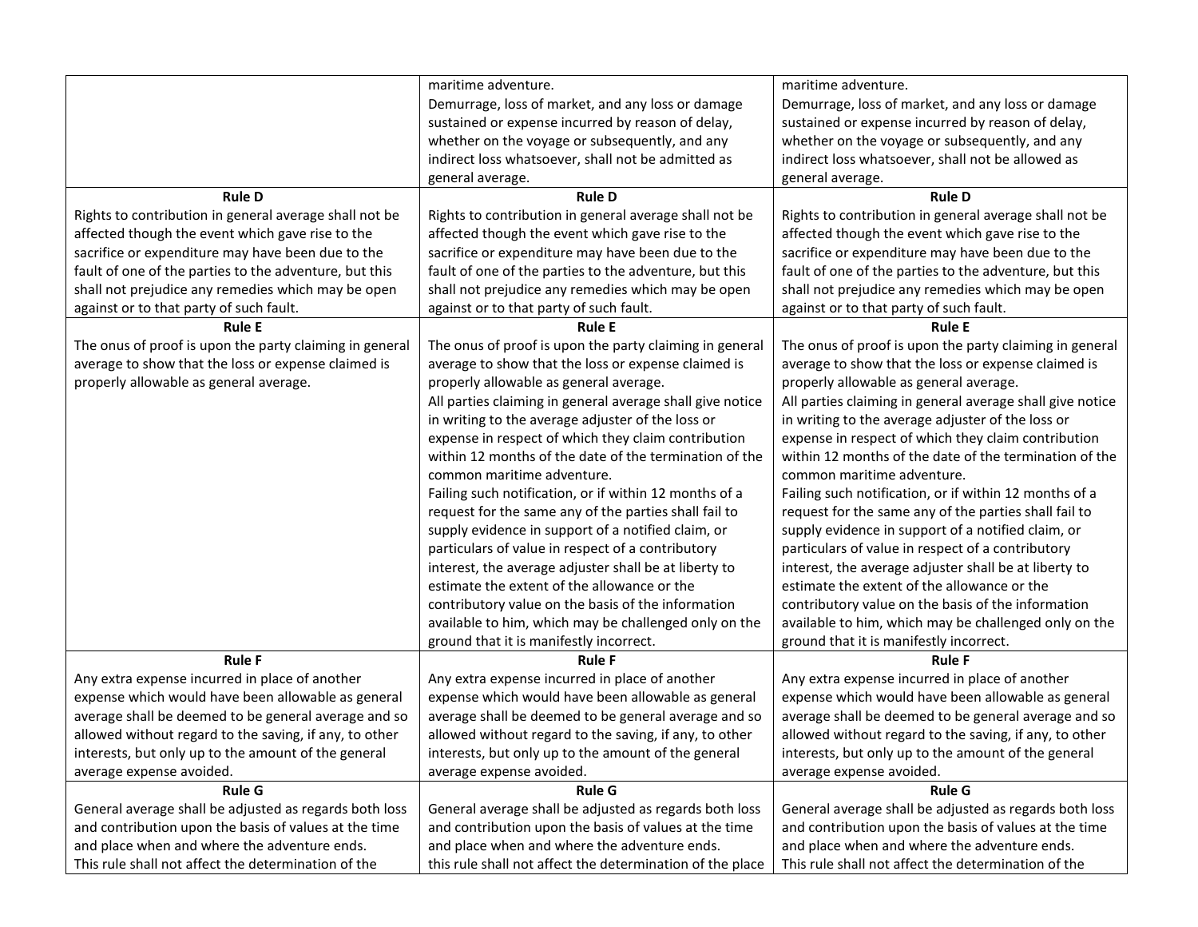|                                                         | maritime adventure.                                       | maritime adventure.                                       |
|---------------------------------------------------------|-----------------------------------------------------------|-----------------------------------------------------------|
|                                                         | Demurrage, loss of market, and any loss or damage         | Demurrage, loss of market, and any loss or damage         |
|                                                         | sustained or expense incurred by reason of delay,         | sustained or expense incurred by reason of delay,         |
|                                                         | whether on the voyage or subsequently, and any            | whether on the voyage or subsequently, and any            |
|                                                         | indirect loss whatsoever, shall not be admitted as        | indirect loss whatsoever, shall not be allowed as         |
|                                                         | general average.                                          | general average.                                          |
| <b>Rule D</b>                                           | <b>Rule D</b>                                             | <b>Rule D</b>                                             |
| Rights to contribution in general average shall not be  | Rights to contribution in general average shall not be    | Rights to contribution in general average shall not be    |
| affected though the event which gave rise to the        | affected though the event which gave rise to the          | affected though the event which gave rise to the          |
| sacrifice or expenditure may have been due to the       | sacrifice or expenditure may have been due to the         | sacrifice or expenditure may have been due to the         |
| fault of one of the parties to the adventure, but this  | fault of one of the parties to the adventure, but this    | fault of one of the parties to the adventure, but this    |
| shall not prejudice any remedies which may be open      | shall not prejudice any remedies which may be open        | shall not prejudice any remedies which may be open        |
| against or to that party of such fault.                 | against or to that party of such fault.                   | against or to that party of such fault.                   |
| <b>Rule E</b>                                           | <b>Rule E</b>                                             | <b>Rule E</b>                                             |
| The onus of proof is upon the party claiming in general | The onus of proof is upon the party claiming in general   | The onus of proof is upon the party claiming in general   |
| average to show that the loss or expense claimed is     | average to show that the loss or expense claimed is       | average to show that the loss or expense claimed is       |
| properly allowable as general average.                  | properly allowable as general average.                    | properly allowable as general average.                    |
|                                                         | All parties claiming in general average shall give notice | All parties claiming in general average shall give notice |
|                                                         | in writing to the average adjuster of the loss or         | in writing to the average adjuster of the loss or         |
|                                                         | expense in respect of which they claim contribution       | expense in respect of which they claim contribution       |
|                                                         | within 12 months of the date of the termination of the    | within 12 months of the date of the termination of the    |
|                                                         | common maritime adventure.                                | common maritime adventure.                                |
|                                                         | Failing such notification, or if within 12 months of a    | Failing such notification, or if within 12 months of a    |
|                                                         | request for the same any of the parties shall fail to     | request for the same any of the parties shall fail to     |
|                                                         | supply evidence in support of a notified claim, or        | supply evidence in support of a notified claim, or        |
|                                                         | particulars of value in respect of a contributory         | particulars of value in respect of a contributory         |
|                                                         | interest, the average adjuster shall be at liberty to     | interest, the average adjuster shall be at liberty to     |
|                                                         | estimate the extent of the allowance or the               | estimate the extent of the allowance or the               |
|                                                         | contributory value on the basis of the information        | contributory value on the basis of the information        |
|                                                         | available to him, which may be challenged only on the     | available to him, which may be challenged only on the     |
|                                                         | ground that it is manifestly incorrect.                   | ground that it is manifestly incorrect.                   |
| <b>Rule F</b>                                           | <b>Rule F</b>                                             | <b>Rule F</b>                                             |
| Any extra expense incurred in place of another          | Any extra expense incurred in place of another            | Any extra expense incurred in place of another            |
| expense which would have been allowable as general      | expense which would have been allowable as general        | expense which would have been allowable as general        |
| average shall be deemed to be general average and so    | average shall be deemed to be general average and so      | average shall be deemed to be general average and so      |
| allowed without regard to the saving, if any, to other  | allowed without regard to the saving, if any, to other    | allowed without regard to the saving, if any, to other    |
| interests, but only up to the amount of the general     | interests, but only up to the amount of the general       | interests, but only up to the amount of the general       |
| average expense avoided.                                | average expense avoided.                                  | average expense avoided.                                  |
| <b>Rule G</b>                                           | <b>Rule G</b>                                             | <b>Rule G</b>                                             |
| General average shall be adjusted as regards both loss  | General average shall be adjusted as regards both loss    | General average shall be adjusted as regards both loss    |
| and contribution upon the basis of values at the time   | and contribution upon the basis of values at the time     | and contribution upon the basis of values at the time     |
| and place when and where the adventure ends.            | and place when and where the adventure ends.              | and place when and where the adventure ends.              |
| This rule shall not affect the determination of the     | this rule shall not affect the determination of the place | This rule shall not affect the determination of the       |
|                                                         |                                                           |                                                           |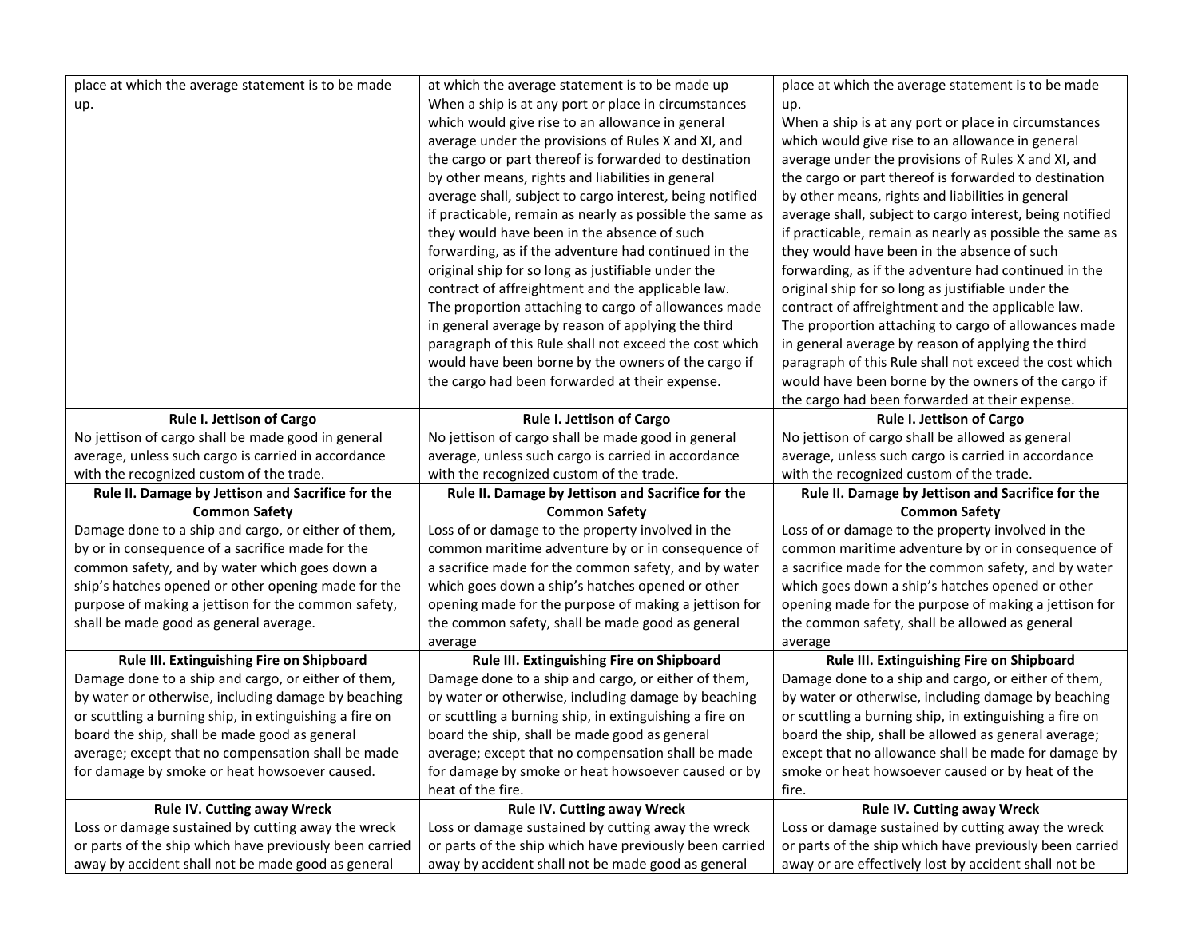| place at which the average statement is to be made                                                            | at which the average statement is to be made up                                                               | place at which the average statement is to be made                                                               |
|---------------------------------------------------------------------------------------------------------------|---------------------------------------------------------------------------------------------------------------|------------------------------------------------------------------------------------------------------------------|
| up.                                                                                                           | When a ship is at any port or place in circumstances                                                          | up.                                                                                                              |
|                                                                                                               | which would give rise to an allowance in general                                                              | When a ship is at any port or place in circumstances                                                             |
|                                                                                                               | average under the provisions of Rules X and XI, and                                                           | which would give rise to an allowance in general                                                                 |
|                                                                                                               | the cargo or part thereof is forwarded to destination                                                         | average under the provisions of Rules X and XI, and                                                              |
|                                                                                                               | by other means, rights and liabilities in general                                                             | the cargo or part thereof is forwarded to destination                                                            |
|                                                                                                               | average shall, subject to cargo interest, being notified                                                      | by other means, rights and liabilities in general                                                                |
|                                                                                                               | if practicable, remain as nearly as possible the same as                                                      | average shall, subject to cargo interest, being notified                                                         |
|                                                                                                               | they would have been in the absence of such                                                                   | if practicable, remain as nearly as possible the same as                                                         |
|                                                                                                               | forwarding, as if the adventure had continued in the                                                          | they would have been in the absence of such                                                                      |
|                                                                                                               | original ship for so long as justifiable under the                                                            | forwarding, as if the adventure had continued in the                                                             |
|                                                                                                               | contract of affreightment and the applicable law.                                                             | original ship for so long as justifiable under the                                                               |
|                                                                                                               | The proportion attaching to cargo of allowances made                                                          | contract of affreightment and the applicable law.                                                                |
|                                                                                                               | in general average by reason of applying the third                                                            | The proportion attaching to cargo of allowances made                                                             |
|                                                                                                               | paragraph of this Rule shall not exceed the cost which                                                        | in general average by reason of applying the third                                                               |
|                                                                                                               | would have been borne by the owners of the cargo if                                                           | paragraph of this Rule shall not exceed the cost which                                                           |
|                                                                                                               | the cargo had been forwarded at their expense.                                                                | would have been borne by the owners of the cargo if                                                              |
|                                                                                                               |                                                                                                               | the cargo had been forwarded at their expense.                                                                   |
| Rule I. Jettison of Cargo                                                                                     | Rule I. Jettison of Cargo                                                                                     | Rule I. Jettison of Cargo                                                                                        |
| No jettison of cargo shall be made good in general                                                            | No jettison of cargo shall be made good in general                                                            | No jettison of cargo shall be allowed as general                                                                 |
| average, unless such cargo is carried in accordance                                                           | average, unless such cargo is carried in accordance                                                           | average, unless such cargo is carried in accordance                                                              |
| with the recognized custom of the trade.                                                                      | with the recognized custom of the trade.                                                                      | with the recognized custom of the trade.                                                                         |
|                                                                                                               |                                                                                                               |                                                                                                                  |
| Rule II. Damage by Jettison and Sacrifice for the                                                             | Rule II. Damage by Jettison and Sacrifice for the                                                             | Rule II. Damage by Jettison and Sacrifice for the                                                                |
| <b>Common Safety</b>                                                                                          | <b>Common Safety</b>                                                                                          | <b>Common Safety</b>                                                                                             |
| Damage done to a ship and cargo, or either of them,                                                           | Loss of or damage to the property involved in the                                                             | Loss of or damage to the property involved in the                                                                |
| by or in consequence of a sacrifice made for the                                                              | common maritime adventure by or in consequence of                                                             | common maritime adventure by or in consequence of                                                                |
| common safety, and by water which goes down a                                                                 | a sacrifice made for the common safety, and by water                                                          | a sacrifice made for the common safety, and by water                                                             |
| ship's hatches opened or other opening made for the                                                           | which goes down a ship's hatches opened or other                                                              | which goes down a ship's hatches opened or other                                                                 |
| purpose of making a jettison for the common safety,                                                           | opening made for the purpose of making a jettison for                                                         | opening made for the purpose of making a jettison for                                                            |
| shall be made good as general average.                                                                        | the common safety, shall be made good as general                                                              | the common safety, shall be allowed as general                                                                   |
|                                                                                                               | average                                                                                                       | average                                                                                                          |
| Rule III. Extinguishing Fire on Shipboard                                                                     | Rule III. Extinguishing Fire on Shipboard                                                                     | Rule III. Extinguishing Fire on Shipboard                                                                        |
| Damage done to a ship and cargo, or either of them,                                                           | Damage done to a ship and cargo, or either of them,                                                           | Damage done to a ship and cargo, or either of them,                                                              |
| by water or otherwise, including damage by beaching                                                           | by water or otherwise, including damage by beaching                                                           | by water or otherwise, including damage by beaching                                                              |
| or scuttling a burning ship, in extinguishing a fire on                                                       | or scuttling a burning ship, in extinguishing a fire on                                                       | or scuttling a burning ship, in extinguishing a fire on                                                          |
| board the ship, shall be made good as general                                                                 | board the ship, shall be made good as general                                                                 | board the ship, shall be allowed as general average;                                                             |
| average; except that no compensation shall be made                                                            | average; except that no compensation shall be made                                                            | except that no allowance shall be made for damage by                                                             |
| for damage by smoke or heat howsoever caused.                                                                 | for damage by smoke or heat howsoever caused or by                                                            | smoke or heat howsoever caused or by heat of the                                                                 |
|                                                                                                               | heat of the fire.                                                                                             | fire.                                                                                                            |
| <b>Rule IV. Cutting away Wreck</b>                                                                            | <b>Rule IV. Cutting away Wreck</b>                                                                            | <b>Rule IV. Cutting away Wreck</b>                                                                               |
| Loss or damage sustained by cutting away the wreck                                                            | Loss or damage sustained by cutting away the wreck                                                            | Loss or damage sustained by cutting away the wreck                                                               |
| or parts of the ship which have previously been carried<br>away by accident shall not be made good as general | or parts of the ship which have previously been carried<br>away by accident shall not be made good as general | or parts of the ship which have previously been carried<br>away or are effectively lost by accident shall not be |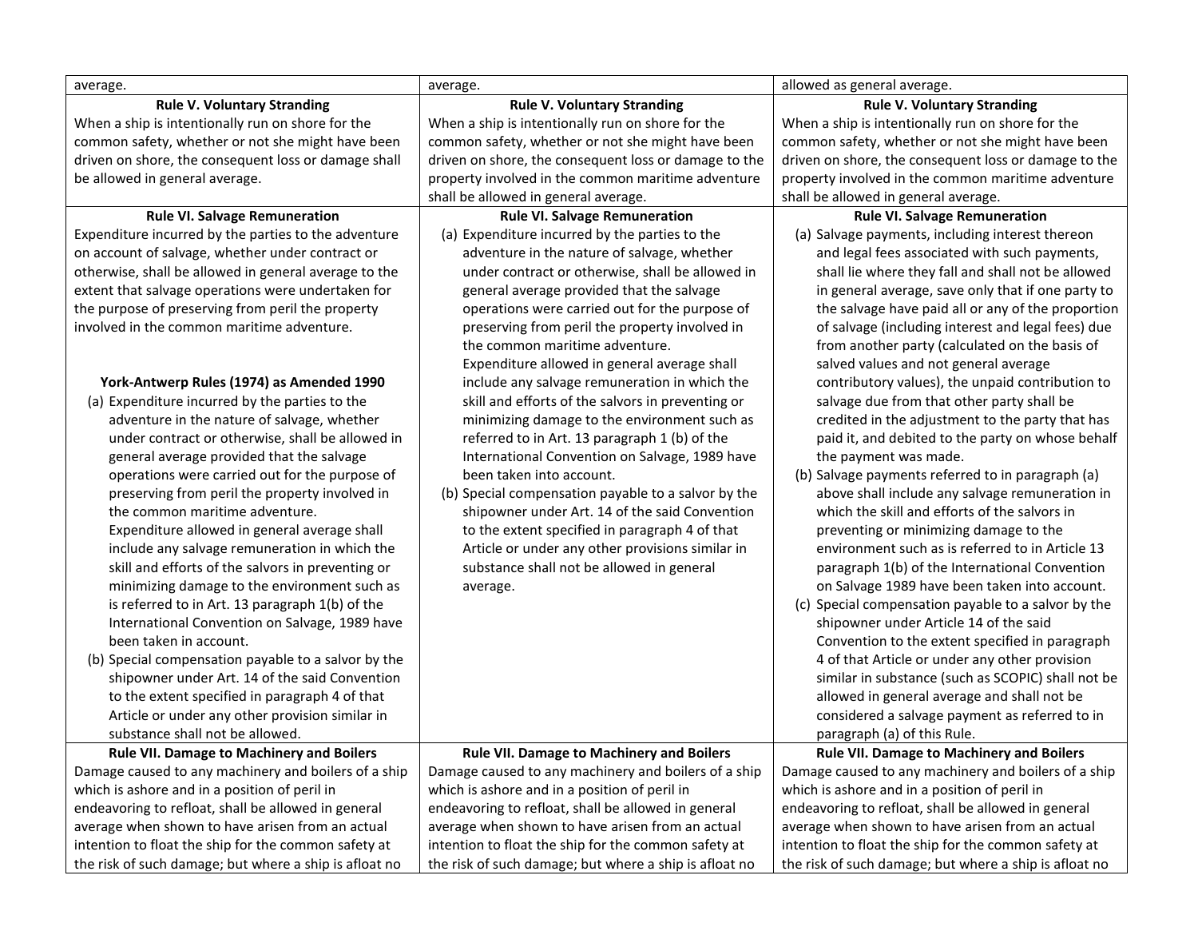| average.<br>average.                                   |                                                        | allowed as general average.                            |  |
|--------------------------------------------------------|--------------------------------------------------------|--------------------------------------------------------|--|
| <b>Rule V. Voluntary Stranding</b>                     | <b>Rule V. Voluntary Stranding</b>                     | <b>Rule V. Voluntary Stranding</b>                     |  |
| When a ship is intentionally run on shore for the      | When a ship is intentionally run on shore for the      | When a ship is intentionally run on shore for the      |  |
| common safety, whether or not she might have been      | common safety, whether or not she might have been      | common safety, whether or not she might have been      |  |
| driven on shore, the consequent loss or damage shall   | driven on shore, the consequent loss or damage to the  | driven on shore, the consequent loss or damage to the  |  |
| be allowed in general average.                         | property involved in the common maritime adventure     | property involved in the common maritime adventure     |  |
|                                                        | shall be allowed in general average.                   | shall be allowed in general average.                   |  |
| <b>Rule VI. Salvage Remuneration</b>                   | <b>Rule VI. Salvage Remuneration</b>                   | Rule VI. Salvage Remuneration                          |  |
| Expenditure incurred by the parties to the adventure   | (a) Expenditure incurred by the parties to the         | (a) Salvage payments, including interest thereon       |  |
| on account of salvage, whether under contract or       | adventure in the nature of salvage, whether            | and legal fees associated with such payments,          |  |
| otherwise, shall be allowed in general average to the  | under contract or otherwise, shall be allowed in       | shall lie where they fall and shall not be allowed     |  |
| extent that salvage operations were undertaken for     | general average provided that the salvage              | in general average, save only that if one party to     |  |
| the purpose of preserving from peril the property      | operations were carried out for the purpose of         | the salvage have paid all or any of the proportion     |  |
| involved in the common maritime adventure.             | preserving from peril the property involved in         | of salvage (including interest and legal fees) due     |  |
|                                                        | the common maritime adventure.                         | from another party (calculated on the basis of         |  |
|                                                        | Expenditure allowed in general average shall           | salved values and not general average                  |  |
| York-Antwerp Rules (1974) as Amended 1990              | include any salvage remuneration in which the          | contributory values), the unpaid contribution to       |  |
| (a) Expenditure incurred by the parties to the         | skill and efforts of the salvors in preventing or      | salvage due from that other party shall be             |  |
| adventure in the nature of salvage, whether            | minimizing damage to the environment such as           | credited in the adjustment to the party that has       |  |
| under contract or otherwise, shall be allowed in       | referred to in Art. 13 paragraph 1 (b) of the          | paid it, and debited to the party on whose behalf      |  |
| general average provided that the salvage              | International Convention on Salvage, 1989 have         | the payment was made.                                  |  |
| operations were carried out for the purpose of         | been taken into account.                               | (b) Salvage payments referred to in paragraph (a)      |  |
| preserving from peril the property involved in         | (b) Special compensation payable to a salvor by the    | above shall include any salvage remuneration in        |  |
| the common maritime adventure.                         | shipowner under Art. 14 of the said Convention         | which the skill and efforts of the salvors in          |  |
| Expenditure allowed in general average shall           | to the extent specified in paragraph 4 of that         | preventing or minimizing damage to the                 |  |
| include any salvage remuneration in which the          | Article or under any other provisions similar in       | environment such as is referred to in Article 13       |  |
| skill and efforts of the salvors in preventing or      | substance shall not be allowed in general              | paragraph 1(b) of the International Convention         |  |
| minimizing damage to the environment such as           | average.                                               | on Salvage 1989 have been taken into account.          |  |
| is referred to in Art. 13 paragraph 1(b) of the        |                                                        | (c) Special compensation payable to a salvor by the    |  |
| International Convention on Salvage, 1989 have         |                                                        | shipowner under Article 14 of the said                 |  |
| been taken in account.                                 |                                                        | Convention to the extent specified in paragraph        |  |
| (b) Special compensation payable to a salvor by the    |                                                        | 4 of that Article or under any other provision         |  |
| shipowner under Art. 14 of the said Convention         |                                                        | similar in substance (such as SCOPIC) shall not be     |  |
| to the extent specified in paragraph 4 of that         |                                                        | allowed in general average and shall not be            |  |
| Article or under any other provision similar in        |                                                        | considered a salvage payment as referred to in         |  |
| substance shall not be allowed.                        |                                                        | paragraph (a) of this Rule.                            |  |
| Rule VII. Damage to Machinery and Boilers              | Rule VII. Damage to Machinery and Boilers              | Rule VII. Damage to Machinery and Boilers              |  |
| Damage caused to any machinery and boilers of a ship   | Damage caused to any machinery and boilers of a ship   | Damage caused to any machinery and boilers of a ship   |  |
| which is ashore and in a position of peril in          | which is ashore and in a position of peril in          | which is ashore and in a position of peril in          |  |
| endeavoring to refloat, shall be allowed in general    | endeavoring to refloat, shall be allowed in general    | endeavoring to refloat, shall be allowed in general    |  |
| average when shown to have arisen from an actual       | average when shown to have arisen from an actual       | average when shown to have arisen from an actual       |  |
| intention to float the ship for the common safety at   | intention to float the ship for the common safety at   | intention to float the ship for the common safety at   |  |
| the risk of such damage; but where a ship is afloat no | the risk of such damage; but where a ship is afloat no | the risk of such damage; but where a ship is afloat no |  |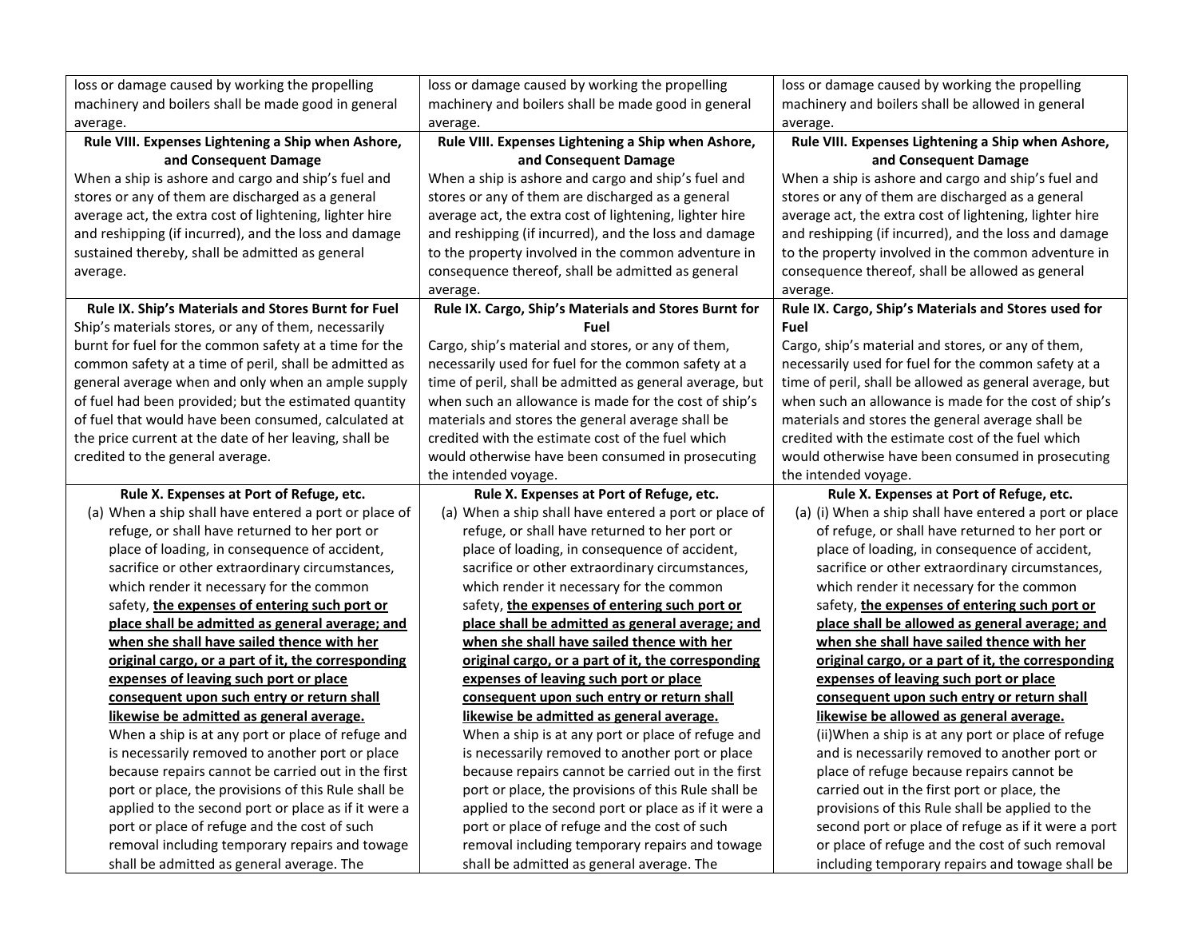| loss or damage caused by working the propelling         | loss or damage caused by working the propelling          | loss or damage caused by working the propelling         |  |
|---------------------------------------------------------|----------------------------------------------------------|---------------------------------------------------------|--|
| machinery and boilers shall be made good in general     | machinery and boilers shall be made good in general      | machinery and boilers shall be allowed in general       |  |
| average.                                                | average.                                                 | average.                                                |  |
| Rule VIII. Expenses Lightening a Ship when Ashore,      | Rule VIII. Expenses Lightening a Ship when Ashore,       | Rule VIII. Expenses Lightening a Ship when Ashore,      |  |
| and Consequent Damage                                   | and Consequent Damage                                    | and Consequent Damage                                   |  |
| When a ship is ashore and cargo and ship's fuel and     | When a ship is ashore and cargo and ship's fuel and      | When a ship is ashore and cargo and ship's fuel and     |  |
| stores or any of them are discharged as a general       | stores or any of them are discharged as a general        | stores or any of them are discharged as a general       |  |
| average act, the extra cost of lightening, lighter hire | average act, the extra cost of lightening, lighter hire  | average act, the extra cost of lightening, lighter hire |  |
| and reshipping (if incurred), and the loss and damage   | and reshipping (if incurred), and the loss and damage    | and reshipping (if incurred), and the loss and damage   |  |
| sustained thereby, shall be admitted as general         | to the property involved in the common adventure in      | to the property involved in the common adventure in     |  |
| average.                                                | consequence thereof, shall be admitted as general        | consequence thereof, shall be allowed as general        |  |
|                                                         | average.                                                 | average.                                                |  |
| Rule IX. Ship's Materials and Stores Burnt for Fuel     | Rule IX. Cargo, Ship's Materials and Stores Burnt for    | Rule IX. Cargo, Ship's Materials and Stores used for    |  |
| Ship's materials stores, or any of them, necessarily    | Fuel                                                     | Fuel                                                    |  |
| burnt for fuel for the common safety at a time for the  | Cargo, ship's material and stores, or any of them,       | Cargo, ship's material and stores, or any of them,      |  |
| common safety at a time of peril, shall be admitted as  | necessarily used for fuel for the common safety at a     | necessarily used for fuel for the common safety at a    |  |
| general average when and only when an ample supply      | time of peril, shall be admitted as general average, but | time of peril, shall be allowed as general average, but |  |
| of fuel had been provided; but the estimated quantity   | when such an allowance is made for the cost of ship's    | when such an allowance is made for the cost of ship's   |  |
| of fuel that would have been consumed, calculated at    | materials and stores the general average shall be        | materials and stores the general average shall be       |  |
| the price current at the date of her leaving, shall be  | credited with the estimate cost of the fuel which        | credited with the estimate cost of the fuel which       |  |
| credited to the general average.                        | would otherwise have been consumed in prosecuting        | would otherwise have been consumed in prosecuting       |  |
|                                                         | the intended voyage.                                     | the intended voyage.                                    |  |
| Rule X. Expenses at Port of Refuge, etc.                | Rule X. Expenses at Port of Refuge, etc.                 | Rule X. Expenses at Port of Refuge, etc.                |  |
| (a) When a ship shall have entered a port or place of   | (a) When a ship shall have entered a port or place of    | (a) (i) When a ship shall have entered a port or place  |  |
| refuge, or shall have returned to her port or           | refuge, or shall have returned to her port or            | of refuge, or shall have returned to her port or        |  |
| place of loading, in consequence of accident,           | place of loading, in consequence of accident,            | place of loading, in consequence of accident,           |  |
| sacrifice or other extraordinary circumstances,         | sacrifice or other extraordinary circumstances,          | sacrifice or other extraordinary circumstances,         |  |
| which render it necessary for the common                | which render it necessary for the common                 | which render it necessary for the common                |  |
| safety, the expenses of entering such port or           | safety, the expenses of entering such port or            | safety, the expenses of entering such port or           |  |
| place shall be admitted as general average; and         | place shall be admitted as general average; and          | place shall be allowed as general average; and          |  |
| when she shall have sailed thence with her              | when she shall have sailed thence with her               | when she shall have sailed thence with her              |  |
| original cargo, or a part of it, the corresponding      | original cargo, or a part of it, the corresponding       | original cargo, or a part of it, the corresponding      |  |
| expenses of leaving such port or place                  | expenses of leaving such port or place                   | expenses of leaving such port or place                  |  |
| consequent upon such entry or return shall              | consequent upon such entry or return shall               | consequent upon such entry or return shall              |  |
| likewise be admitted as general average.                | likewise be admitted as general average.                 | likewise be allowed as general average.                 |  |
| When a ship is at any port or place of refuge and       | When a ship is at any port or place of refuge and        | (ii) When a ship is at any port or place of refuge      |  |
| is necessarily removed to another port or place         | is necessarily removed to another port or place          | and is necessarily removed to another port or           |  |
| because repairs cannot be carried out in the first      | because repairs cannot be carried out in the first       | place of refuge because repairs cannot be               |  |
| port or place, the provisions of this Rule shall be     | port or place, the provisions of this Rule shall be      | carried out in the first port or place, the             |  |
| applied to the second port or place as if it were a     | applied to the second port or place as if it were a      | provisions of this Rule shall be applied to the         |  |
| port or place of refuge and the cost of such            | port or place of refuge and the cost of such             | second port or place of refuge as if it were a port     |  |
| removal including temporary repairs and towage          | removal including temporary repairs and towage           | or place of refuge and the cost of such removal         |  |
| shall be admitted as general average. The               | shall be admitted as general average. The                | including temporary repairs and towage shall be         |  |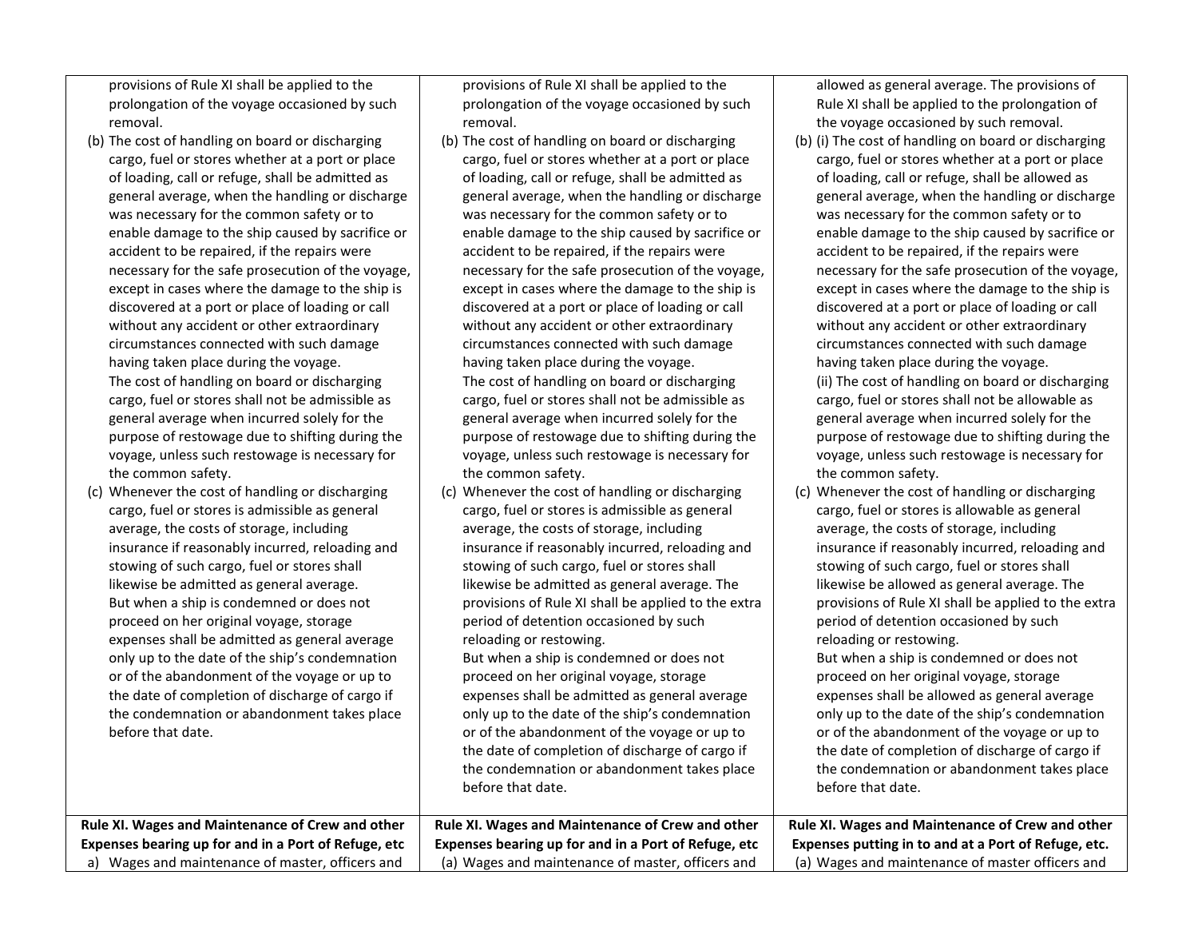provisions of Rule XI shall be applied to the prolongation of the voyage occasioned by such removal.

- (b) The cost of handling on board or discharging cargo, fuel or stores whether at a port or place of loading, call or refuge, shall be admitted as general average, when the handling or discharge was necessary for the common safety or to enable damage to the ship caused by sacrifice or accident to be repaired, if the repairs were necessary for the safe prosecution of the voyage, except in cases where the damage to the ship is discovered at a port or place of loading or call without any accident or other extraordinary circumstances connected with such damage having taken place during the voyage. The cost of handling on board or discharging cargo, fuel or stores shall not be admissible as general average when incurred solely for the purpose of restowage due to shifting during the voyage, unless such restowage is necessary for the common safety.
- (c) Whenever the cost of handling or discharging cargo, fuel or stores is admissible as general average, the costs of storage, including insurance if reasonably incurred, reloading and stowing of such cargo, fuel or stores shall likewise be admitted as general average. But when a ship is condemned or does not proceed on her original voyage, storage expenses shall be admitted as general average only up to the date of the ship's condemnation or of the abandonment of the voyage or up to the date of completion of discharge of cargo if the condemnation or abandonment takes place before that date.

**Rule XI. Wages and Maintenance of Crew and other Expenses bearing up for and in a Port of Refuge, etc** a) Wages and maintenance of master, officers and

provisions of Rule XI shall be applied to the prolongation of the voyage occasioned by such removal.

- (b) The cost of handling on board or discharging cargo, fuel or stores whether at a port or place of loading, call or refuge, shall be admitted as general average, when the handling or discharge was necessary for the common safety or to enable damage to the ship caused by sacrifice or accident to be repaired, if the repairs were necessary for the safe prosecution of the voyage, except in cases where the damage to the ship is discovered at a port or place of loading or call without any accident or other extraordinary circumstances connected with such damage having taken place during the voyage. The cost of handling on board or discharging cargo, fuel or stores shall not be admissible as general average when incurred solely for the purpose of restowage due to shifting during the voyage, unless such restowage is necessary for the common safety.
- (c) Whenever the cost of handling or discharging cargo, fuel or stores is admissible as general average, the costs of storage, including insurance if reasonably incurred, reloading and stowing of such cargo, fuel or stores shall likewise be admitted as general average. The provisions of Rule XI shall be applied to the extra period of detention occasioned by such reloading or restowing. But when a ship is condemned or does not proceed on her original voyage, storage expenses shall be admitted as general average only up to the date of the ship's condemnation or of the abandonment of the voyage or up to the date of completion of discharge of cargo if the condemnation or abandonment takes place before that date.

**Rule XI. Wages and Maintenance of Crew and other Expenses bearing up for and in a Port of Refuge, etc** (a) Wages and maintenance of master, officers and

allowed as general average. The provisions of Rule XI shall be applied to the prolongation of the voyage occasioned by such removal.

- (b) (i) The cost of handling on board or discharging cargo, fuel or stores whether at a port or place of loading, call or refuge, shall be allowed as general average, when the handling or discharge was necessary for the common safety or to enable damage to the ship caused by sacrifice or accident to be repaired, if the repairs were necessary for the safe prosecution of the voyage, except in cases where the damage to the ship is discovered at a port or place of loading or call without any accident or other extraordinary circumstances connected with such damage having taken place during the voyage. (ii) The cost of handling on board or discharging cargo, fuel or stores shall not be allowable as general average when incurred solely for the purpose of restowage due to shifting during the voyage, unless such restowage is necessary for the common safety.
- (c) Whenever the cost of handling or discharging cargo, fuel or stores is allowable as general average, the costs of storage, including insurance if reasonably incurred, reloading and stowing of such cargo, fuel or stores shall likewise be allowed as general average. The provisions of Rule XI shall be applied to the extra period of detention occasioned by such reloading or restowing. But when a ship is condemned or does not proceed on her original voyage, storage

expenses shall be allowed as general average only up to the date of the ship's condemnation or of the abandonment of the voyage or up to the date of completion of discharge of cargo if the condemnation or abandonment takes place before that date.

**Rule XI. Wages and Maintenance of Crew and other Expenses putting in to and at a Port of Refuge, etc.** (a) Wages and maintenance of master officers and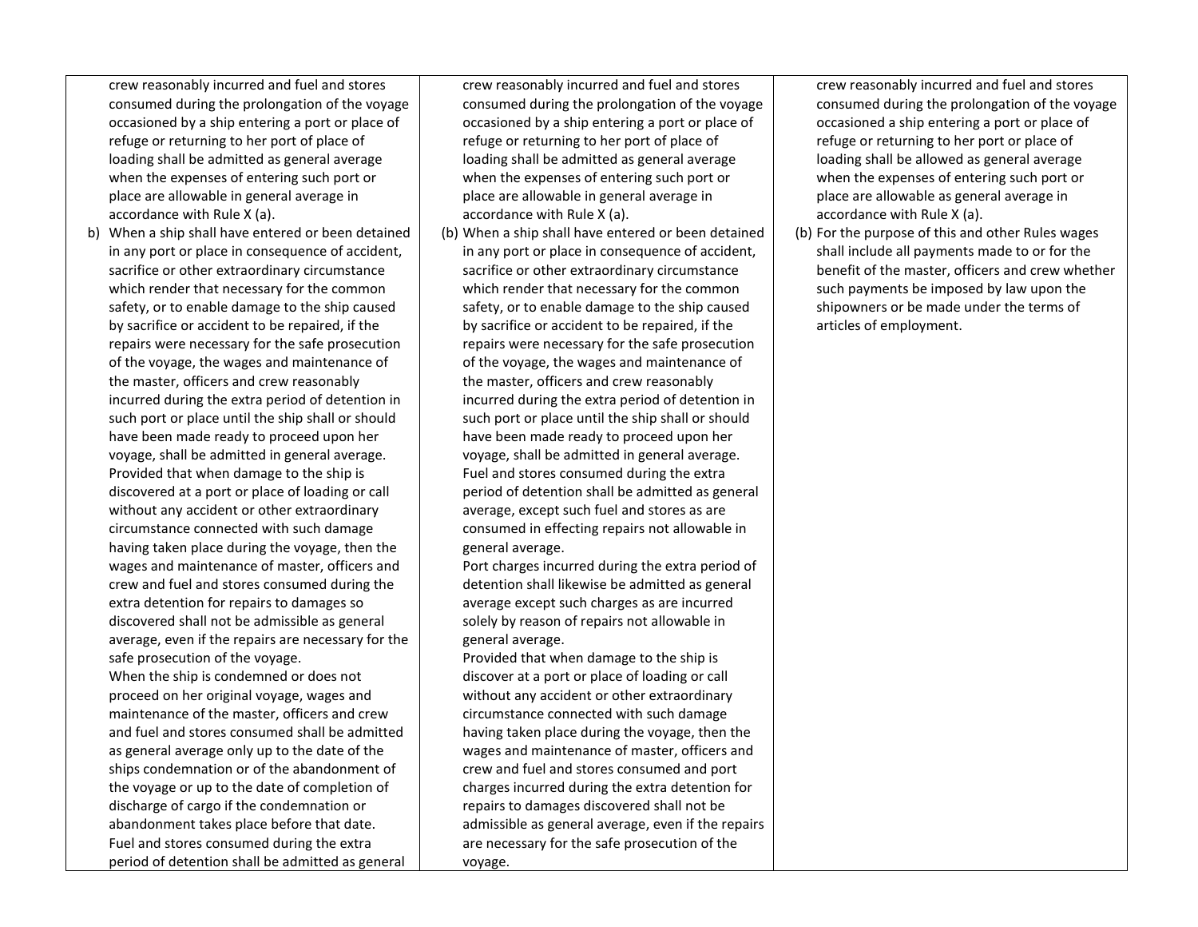crew reasonably incurred and fuel and stores consumed during the prolongation of the voyage occasioned by a ship entering a port or place of refuge or returning to her port of place of loading shall be admitted as general average when the expenses of entering such port or place are allowable in general average in accordance with Rule X (a).

b) When a ship shall have entered or been detained in any port or place in consequence of accident, sacrifice or other extraordinary circumstance which render that necessary for the common safety, or to enable damage to the ship caused by sacrifice or accident to be repaired, if the repairs were necessary for the safe prosecution of the voyage, the wages and maintenance of the master, officers and crew reasonably incurred during the extra period of detention in such port or place until the ship shall or should have been made ready to proceed upon her voyage, shall be admitted in general average. Provided that when damage to the ship is discovered at a port or place of loading or call without any accident or other extraordinary circumstance connected with such damage having taken place during the voyage, then the wages and maintenance of master, officers and crew and fuel and stores consumed during the extra detention for repairs to damages so discovered shall not be admissible as general average, even if the repairs are necessary for the safe prosecution of the voyage. When the ship is condemned or does not proceed on her original voyage, wages and maintenance of the master, officers and crew and fuel and stores consumed shall be admitted as general average only up to the date of the ships condemnation or of the abandonment of the voyage or up to the date of completion of discharge of cargo if the condemnation or abandonment takes place before that date. Fuel and stores consumed during the extra period of detention shall be admitted as general

crew reasonably incurred and fuel and stores consumed during the prolongation of the voyage occasioned by a ship entering a port or place of refuge or returning to her port of place of loading shall be admitted as general average when the expenses of entering such port or place are allowable in general average in accordance with Rule X (a).

(b) When a ship shall have entered or been detained in any port or place in consequence of accident, sacrifice or other extraordinary circumstance which render that necessary for the common safety, or to enable damage to the ship caused by sacrifice or accident to be repaired, if the repairs were necessary for the safe prosecution of the voyage, the wages and maintenance of the master, officers and crew reasonably incurred during the extra period of detention in such port or place until the ship shall or should have been made ready to proceed upon her voyage, shall be admitted in general average. Fuel and stores consumed during the extra period of detention shall be admitted as general average, except such fuel and stores as are consumed in effecting repairs not allowable in general average.

Port charges incurred during the extra period of detention shall likewise be admitted as general average except such charges as are incurred solely by reason of repairs not allowable in general average.

Provided that when damage to the ship is discover at a port or place of loading or call without any accident or other extraordinary circumstance connected with such damage having taken place during the voyage, then the wages and maintenance of master, officers and crew and fuel and stores consumed and port charges incurred during the extra detention for repairs to damages discovered shall not be admissible as general average, even if the repairs are necessary for the safe prosecution of the voyage.

crew reasonably incurred and fuel and stores consumed during the prolongation of the voyage occasioned a ship entering a port or place of refuge or returning to her port or place of loading shall be allowed as general average when the expenses of entering such port or place are allowable as general average in accordance with Rule X (a).

(b) For the purpose of this and other Rules wages shall include all payments made to or for the benefit of the master, officers and crew whether such payments be imposed by law upon the shipowners or be made under the terms of articles of employment.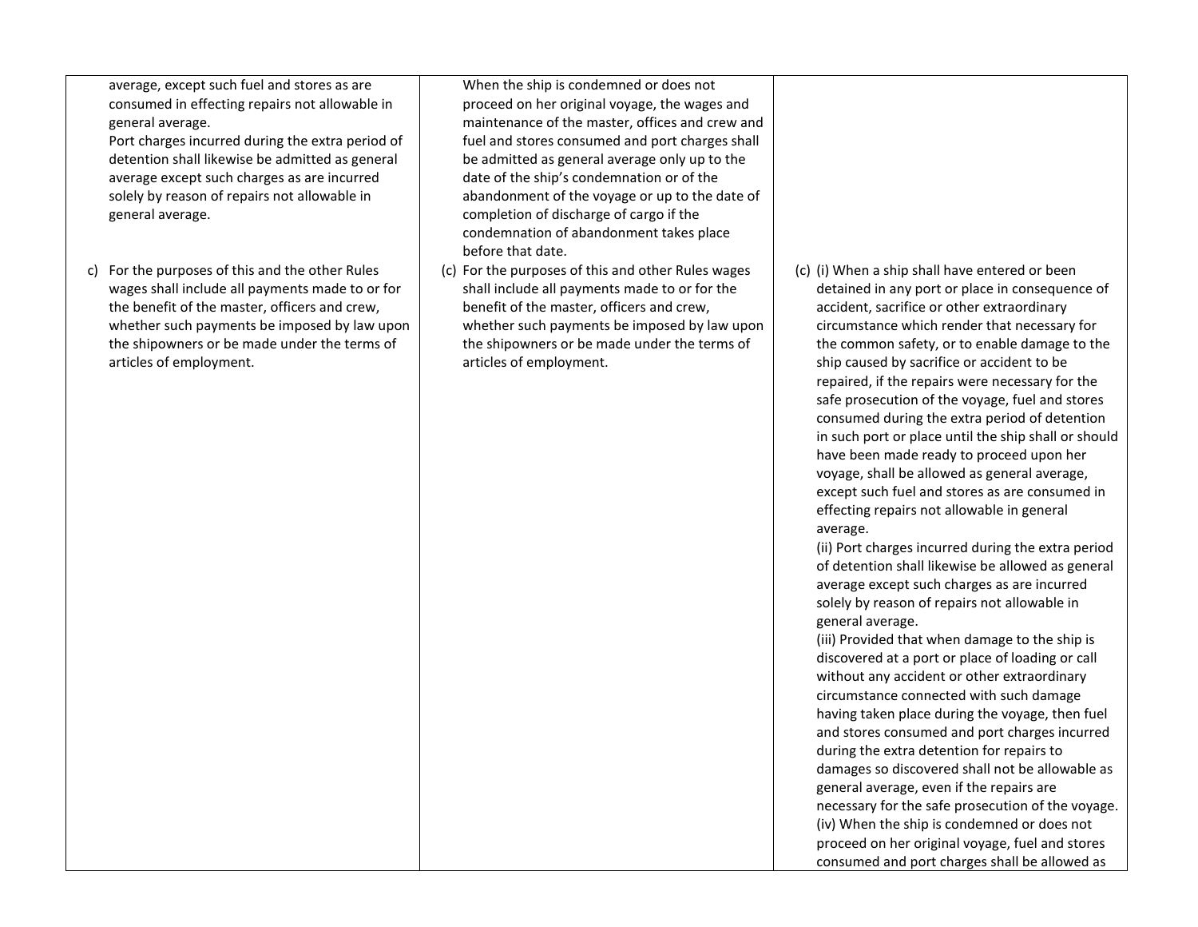average, except such fuel and stores as are consumed in effecting repairs not allowable in general average.

Port charges incurred during the extra period of detention shall likewise be admitted as general average except such charges as are incurred solely by reason of repairs not allowable in general average.

c) For the purposes of this and the other Rules wages shall include all payments made to or for the benefit of the master, officers and crew, whether such payments be imposed by law upon the shipowners or be made under the terms of articles of employment.

When the ship is condemned or does not proceed on her original voyage, the wages and maintenance of the master, offices and crew and fuel and stores consumed and port charges shall be admitted as general average only up to the date of the ship's condemnation or of the abandonment of the voyage or up to the date of completion of discharge of cargo if the condemnation of abandonment takes place before that date.

(c) For the purposes of this and other Rules wages shall include all payments made to or for the benefit of the master, officers and crew, whether such payments be imposed by law upon the shipowners or be made under the terms of articles of employment.

(c) (i) When a ship shall have entered or been detained in any port or place in consequence of accident, sacrifice or other extraordinary circumstance which render that necessary for the common safety, or to enable damage to the ship caused by sacrifice or accident to be repaired, if the repairs were necessary for the safe prosecution of the voyage, fuel and stores consumed during the extra period of detention in such port or place until the ship shall or should have been made ready to proceed upon her voyage, shall be allowed as general average, except such fuel and stores as are consumed in effecting repairs not allowable in general average.

(ii) Port charges incurred during the extra period of detention shall likewise be allowed as general average except such charges as are incurred solely by reason of repairs not allowable in general average.

(iii) Provided that when damage to the ship is discovered at a port or place of loading or call without any accident or other extraordinary circumstance connected with such damage having taken place during the voyage, then fuel and stores consumed and port charges incurred during the extra detention for repairs to damages so discovered shall not be allowable as general average, even if the repairs are necessary for the safe prosecution of the voyage. (iv) When the ship is condemned or does not proceed on her original voyage, fuel and stores consumed and port charges shall be allowed as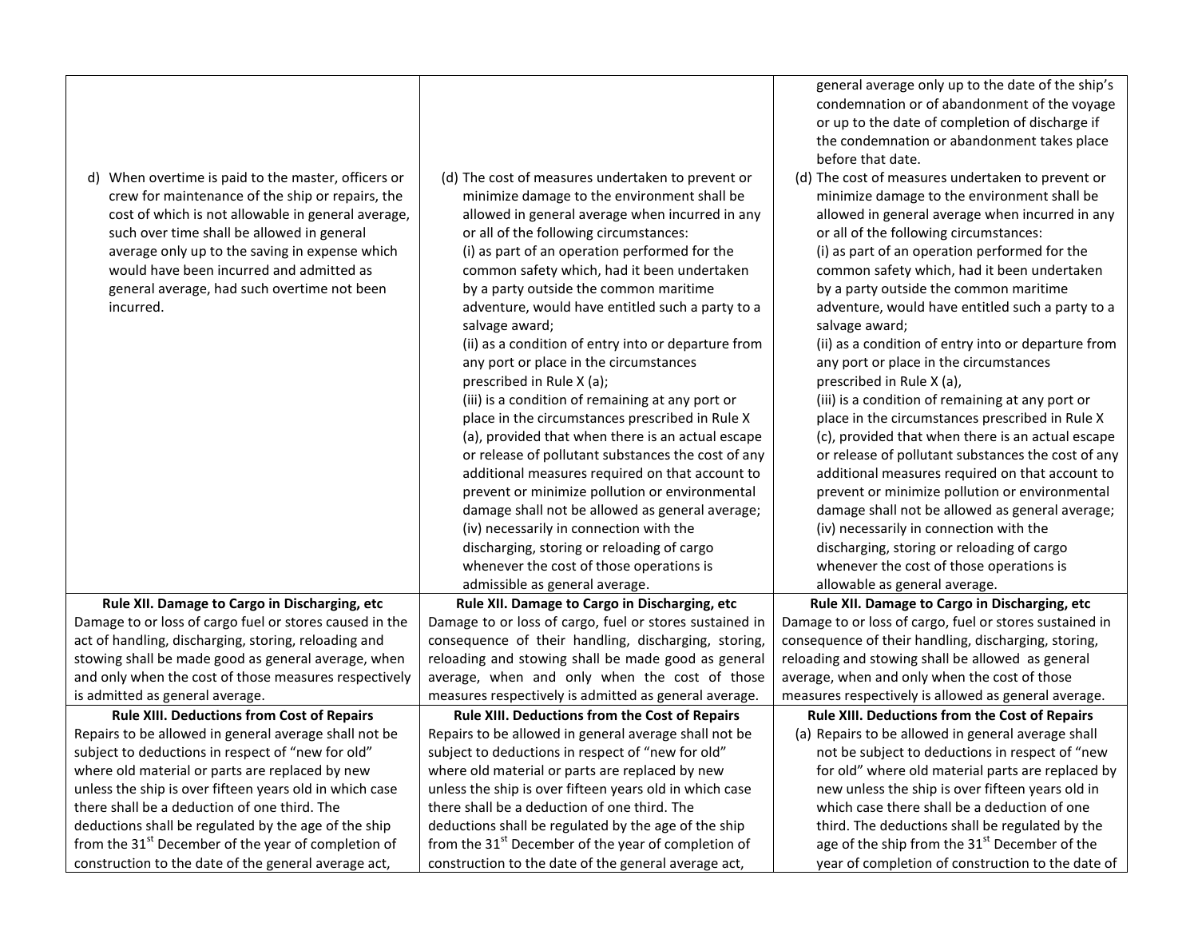| d) When overtime is paid to the master, officers or<br>crew for maintenance of the ship or repairs, the<br>cost of which is not allowable in general average,<br>such over time shall be allowed in general<br>average only up to the saving in expense which<br>would have been incurred and admitted as<br>general average, had such overtime not been<br>incurred. | (d) The cost of measures undertaken to prevent or<br>minimize damage to the environment shall be<br>allowed in general average when incurred in any<br>or all of the following circumstances:<br>(i) as part of an operation performed for the<br>common safety which, had it been undertaken<br>by a party outside the common maritime<br>adventure, would have entitled such a party to a<br>salvage award;<br>(ii) as a condition of entry into or departure from<br>any port or place in the circumstances<br>prescribed in Rule X (a);<br>(iii) is a condition of remaining at any port or<br>place in the circumstances prescribed in Rule X<br>(a), provided that when there is an actual escape<br>or release of pollutant substances the cost of any<br>additional measures required on that account to<br>prevent or minimize pollution or environmental<br>damage shall not be allowed as general average;<br>(iv) necessarily in connection with the<br>discharging, storing or reloading of cargo | general average only up to the date of the ship's<br>condemnation or of abandonment of the voyage<br>or up to the date of completion of discharge if<br>the condemnation or abandonment takes place<br>before that date.<br>(d) The cost of measures undertaken to prevent or<br>minimize damage to the environment shall be<br>allowed in general average when incurred in any<br>or all of the following circumstances:<br>(i) as part of an operation performed for the<br>common safety which, had it been undertaken<br>by a party outside the common maritime<br>adventure, would have entitled such a party to a<br>salvage award;<br>(ii) as a condition of entry into or departure from<br>any port or place in the circumstances<br>prescribed in Rule X (a),<br>(iii) is a condition of remaining at any port or<br>place in the circumstances prescribed in Rule X<br>(c), provided that when there is an actual escape<br>or release of pollutant substances the cost of any<br>additional measures required on that account to<br>prevent or minimize pollution or environmental<br>damage shall not be allowed as general average;<br>(iv) necessarily in connection with the<br>discharging, storing or reloading of cargo |
|-----------------------------------------------------------------------------------------------------------------------------------------------------------------------------------------------------------------------------------------------------------------------------------------------------------------------------------------------------------------------|----------------------------------------------------------------------------------------------------------------------------------------------------------------------------------------------------------------------------------------------------------------------------------------------------------------------------------------------------------------------------------------------------------------------------------------------------------------------------------------------------------------------------------------------------------------------------------------------------------------------------------------------------------------------------------------------------------------------------------------------------------------------------------------------------------------------------------------------------------------------------------------------------------------------------------------------------------------------------------------------------------------|--------------------------------------------------------------------------------------------------------------------------------------------------------------------------------------------------------------------------------------------------------------------------------------------------------------------------------------------------------------------------------------------------------------------------------------------------------------------------------------------------------------------------------------------------------------------------------------------------------------------------------------------------------------------------------------------------------------------------------------------------------------------------------------------------------------------------------------------------------------------------------------------------------------------------------------------------------------------------------------------------------------------------------------------------------------------------------------------------------------------------------------------------------------------------------------------------------------------------------------------|
|                                                                                                                                                                                                                                                                                                                                                                       | whenever the cost of those operations is                                                                                                                                                                                                                                                                                                                                                                                                                                                                                                                                                                                                                                                                                                                                                                                                                                                                                                                                                                       | whenever the cost of those operations is                                                                                                                                                                                                                                                                                                                                                                                                                                                                                                                                                                                                                                                                                                                                                                                                                                                                                                                                                                                                                                                                                                                                                                                                   |
|                                                                                                                                                                                                                                                                                                                                                                       | admissible as general average.                                                                                                                                                                                                                                                                                                                                                                                                                                                                                                                                                                                                                                                                                                                                                                                                                                                                                                                                                                                 | allowable as general average.                                                                                                                                                                                                                                                                                                                                                                                                                                                                                                                                                                                                                                                                                                                                                                                                                                                                                                                                                                                                                                                                                                                                                                                                              |
| Rule XII. Damage to Cargo in Discharging, etc                                                                                                                                                                                                                                                                                                                         | Rule XII. Damage to Cargo in Discharging, etc                                                                                                                                                                                                                                                                                                                                                                                                                                                                                                                                                                                                                                                                                                                                                                                                                                                                                                                                                                  | Rule XII. Damage to Cargo in Discharging, etc                                                                                                                                                                                                                                                                                                                                                                                                                                                                                                                                                                                                                                                                                                                                                                                                                                                                                                                                                                                                                                                                                                                                                                                              |
| Damage to or loss of cargo fuel or stores caused in the                                                                                                                                                                                                                                                                                                               | Damage to or loss of cargo, fuel or stores sustained in                                                                                                                                                                                                                                                                                                                                                                                                                                                                                                                                                                                                                                                                                                                                                                                                                                                                                                                                                        | Damage to or loss of cargo, fuel or stores sustained in                                                                                                                                                                                                                                                                                                                                                                                                                                                                                                                                                                                                                                                                                                                                                                                                                                                                                                                                                                                                                                                                                                                                                                                    |
| act of handling, discharging, storing, reloading and                                                                                                                                                                                                                                                                                                                  | consequence of their handling, discharging, storing,                                                                                                                                                                                                                                                                                                                                                                                                                                                                                                                                                                                                                                                                                                                                                                                                                                                                                                                                                           | consequence of their handling, discharging, storing,                                                                                                                                                                                                                                                                                                                                                                                                                                                                                                                                                                                                                                                                                                                                                                                                                                                                                                                                                                                                                                                                                                                                                                                       |
| stowing shall be made good as general average, when                                                                                                                                                                                                                                                                                                                   | reloading and stowing shall be made good as general                                                                                                                                                                                                                                                                                                                                                                                                                                                                                                                                                                                                                                                                                                                                                                                                                                                                                                                                                            | reloading and stowing shall be allowed as general                                                                                                                                                                                                                                                                                                                                                                                                                                                                                                                                                                                                                                                                                                                                                                                                                                                                                                                                                                                                                                                                                                                                                                                          |
| and only when the cost of those measures respectively                                                                                                                                                                                                                                                                                                                 | average, when and only when the cost of those                                                                                                                                                                                                                                                                                                                                                                                                                                                                                                                                                                                                                                                                                                                                                                                                                                                                                                                                                                  | average, when and only when the cost of those                                                                                                                                                                                                                                                                                                                                                                                                                                                                                                                                                                                                                                                                                                                                                                                                                                                                                                                                                                                                                                                                                                                                                                                              |
| is admitted as general average.                                                                                                                                                                                                                                                                                                                                       | measures respectively is admitted as general average.                                                                                                                                                                                                                                                                                                                                                                                                                                                                                                                                                                                                                                                                                                                                                                                                                                                                                                                                                          | measures respectively is allowed as general average.                                                                                                                                                                                                                                                                                                                                                                                                                                                                                                                                                                                                                                                                                                                                                                                                                                                                                                                                                                                                                                                                                                                                                                                       |
| <b>Rule XIII. Deductions from Cost of Repairs</b>                                                                                                                                                                                                                                                                                                                     | Rule XIII. Deductions from the Cost of Repairs                                                                                                                                                                                                                                                                                                                                                                                                                                                                                                                                                                                                                                                                                                                                                                                                                                                                                                                                                                 | Rule XIII. Deductions from the Cost of Repairs                                                                                                                                                                                                                                                                                                                                                                                                                                                                                                                                                                                                                                                                                                                                                                                                                                                                                                                                                                                                                                                                                                                                                                                             |
| Repairs to be allowed in general average shall not be                                                                                                                                                                                                                                                                                                                 | Repairs to be allowed in general average shall not be                                                                                                                                                                                                                                                                                                                                                                                                                                                                                                                                                                                                                                                                                                                                                                                                                                                                                                                                                          | (a) Repairs to be allowed in general average shall                                                                                                                                                                                                                                                                                                                                                                                                                                                                                                                                                                                                                                                                                                                                                                                                                                                                                                                                                                                                                                                                                                                                                                                         |
| subject to deductions in respect of "new for old"                                                                                                                                                                                                                                                                                                                     | subject to deductions in respect of "new for old"                                                                                                                                                                                                                                                                                                                                                                                                                                                                                                                                                                                                                                                                                                                                                                                                                                                                                                                                                              | not be subject to deductions in respect of "new                                                                                                                                                                                                                                                                                                                                                                                                                                                                                                                                                                                                                                                                                                                                                                                                                                                                                                                                                                                                                                                                                                                                                                                            |
| where old material or parts are replaced by new                                                                                                                                                                                                                                                                                                                       | where old material or parts are replaced by new                                                                                                                                                                                                                                                                                                                                                                                                                                                                                                                                                                                                                                                                                                                                                                                                                                                                                                                                                                | for old" where old material parts are replaced by                                                                                                                                                                                                                                                                                                                                                                                                                                                                                                                                                                                                                                                                                                                                                                                                                                                                                                                                                                                                                                                                                                                                                                                          |
| unless the ship is over fifteen years old in which case                                                                                                                                                                                                                                                                                                               | unless the ship is over fifteen years old in which case                                                                                                                                                                                                                                                                                                                                                                                                                                                                                                                                                                                                                                                                                                                                                                                                                                                                                                                                                        | new unless the ship is over fifteen years old in                                                                                                                                                                                                                                                                                                                                                                                                                                                                                                                                                                                                                                                                                                                                                                                                                                                                                                                                                                                                                                                                                                                                                                                           |
| there shall be a deduction of one third. The                                                                                                                                                                                                                                                                                                                          | there shall be a deduction of one third. The                                                                                                                                                                                                                                                                                                                                                                                                                                                                                                                                                                                                                                                                                                                                                                                                                                                                                                                                                                   | which case there shall be a deduction of one                                                                                                                                                                                                                                                                                                                                                                                                                                                                                                                                                                                                                                                                                                                                                                                                                                                                                                                                                                                                                                                                                                                                                                                               |
| deductions shall be regulated by the age of the ship                                                                                                                                                                                                                                                                                                                  | deductions shall be regulated by the age of the ship                                                                                                                                                                                                                                                                                                                                                                                                                                                                                                                                                                                                                                                                                                                                                                                                                                                                                                                                                           | third. The deductions shall be regulated by the                                                                                                                                                                                                                                                                                                                                                                                                                                                                                                                                                                                                                                                                                                                                                                                                                                                                                                                                                                                                                                                                                                                                                                                            |
| from the 31 <sup>st</sup> December of the year of completion of                                                                                                                                                                                                                                                                                                       | from the 31 <sup>st</sup> December of the year of completion of                                                                                                                                                                                                                                                                                                                                                                                                                                                                                                                                                                                                                                                                                                                                                                                                                                                                                                                                                | age of the ship from the 31 <sup>st</sup> December of the                                                                                                                                                                                                                                                                                                                                                                                                                                                                                                                                                                                                                                                                                                                                                                                                                                                                                                                                                                                                                                                                                                                                                                                  |
| construction to the date of the general average act,                                                                                                                                                                                                                                                                                                                  | construction to the date of the general average act,                                                                                                                                                                                                                                                                                                                                                                                                                                                                                                                                                                                                                                                                                                                                                                                                                                                                                                                                                           | year of completion of construction to the date of                                                                                                                                                                                                                                                                                                                                                                                                                                                                                                                                                                                                                                                                                                                                                                                                                                                                                                                                                                                                                                                                                                                                                                                          |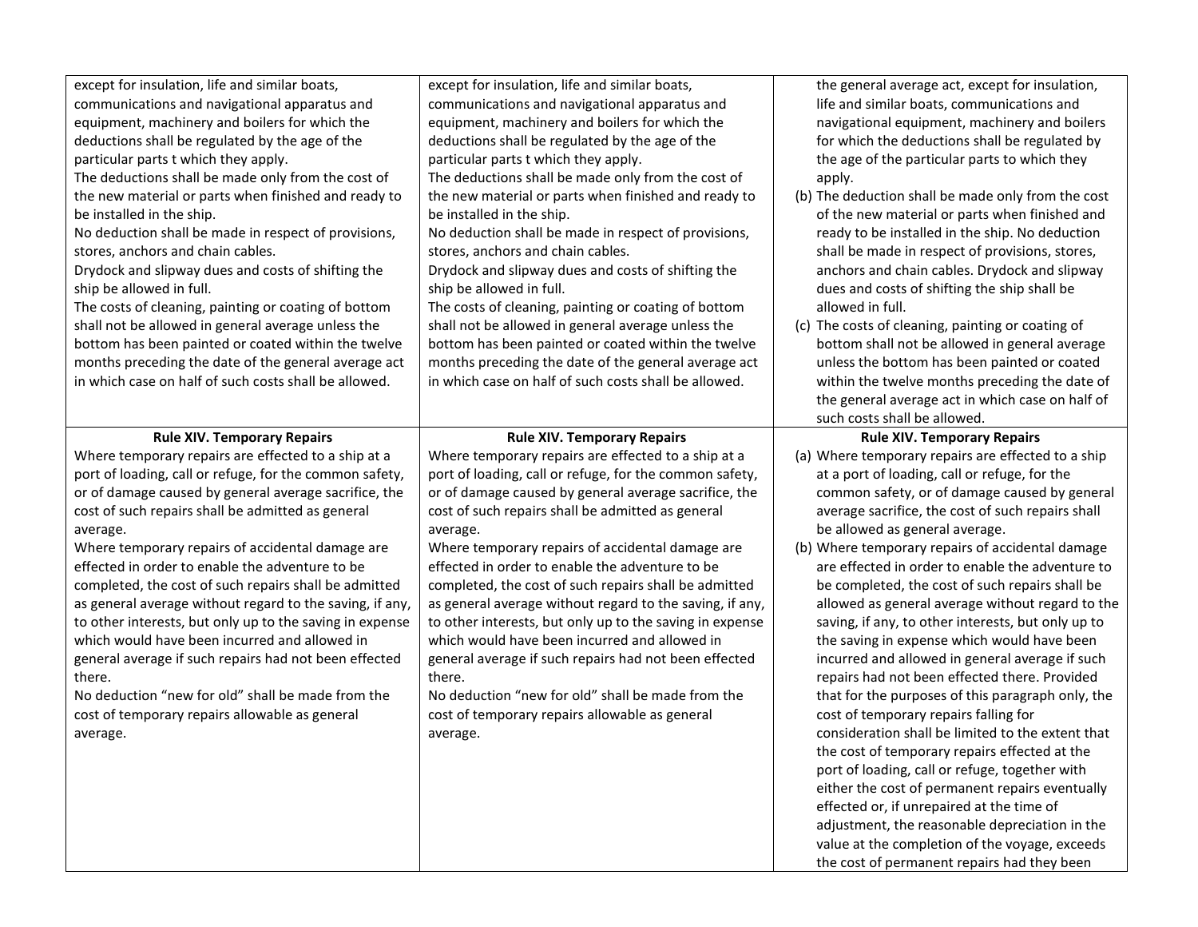| except for insulation, life and similar boats,<br>communications and navigational apparatus and<br>equipment, machinery and boilers for which the<br>deductions shall be regulated by the age of the<br>particular parts t which they apply.<br>The deductions shall be made only from the cost of<br>the new material or parts when finished and ready to<br>be installed in the ship.<br>No deduction shall be made in respect of provisions,<br>stores, anchors and chain cables.<br>Drydock and slipway dues and costs of shifting the<br>ship be allowed in full.<br>The costs of cleaning, painting or coating of bottom<br>shall not be allowed in general average unless the<br>bottom has been painted or coated within the twelve<br>months preceding the date of the general average act<br>in which case on half of such costs shall be allowed. | except for insulation, life and similar boats,<br>communications and navigational apparatus and<br>equipment, machinery and boilers for which the<br>deductions shall be regulated by the age of the<br>particular parts t which they apply.<br>The deductions shall be made only from the cost of<br>the new material or parts when finished and ready to<br>be installed in the ship.<br>No deduction shall be made in respect of provisions,<br>stores, anchors and chain cables.<br>Drydock and slipway dues and costs of shifting the<br>ship be allowed in full.<br>The costs of cleaning, painting or coating of bottom<br>shall not be allowed in general average unless the<br>bottom has been painted or coated within the twelve<br>months preceding the date of the general average act<br>in which case on half of such costs shall be allowed. | the general average act, except for insulation,<br>life and similar boats, communications and<br>navigational equipment, machinery and boilers<br>for which the deductions shall be regulated by<br>the age of the particular parts to which they<br>apply.<br>(b) The deduction shall be made only from the cost<br>of the new material or parts when finished and<br>ready to be installed in the ship. No deduction<br>shall be made in respect of provisions, stores,<br>anchors and chain cables. Drydock and slipway<br>dues and costs of shifting the ship shall be<br>allowed in full.<br>(c) The costs of cleaning, painting or coating of<br>bottom shall not be allowed in general average<br>unless the bottom has been painted or coated<br>within the twelve months preceding the date of<br>the general average act in which case on half of                                                                                                                                                                                                                                                                                                                                                        |
|--------------------------------------------------------------------------------------------------------------------------------------------------------------------------------------------------------------------------------------------------------------------------------------------------------------------------------------------------------------------------------------------------------------------------------------------------------------------------------------------------------------------------------------------------------------------------------------------------------------------------------------------------------------------------------------------------------------------------------------------------------------------------------------------------------------------------------------------------------------|--------------------------------------------------------------------------------------------------------------------------------------------------------------------------------------------------------------------------------------------------------------------------------------------------------------------------------------------------------------------------------------------------------------------------------------------------------------------------------------------------------------------------------------------------------------------------------------------------------------------------------------------------------------------------------------------------------------------------------------------------------------------------------------------------------------------------------------------------------------|--------------------------------------------------------------------------------------------------------------------------------------------------------------------------------------------------------------------------------------------------------------------------------------------------------------------------------------------------------------------------------------------------------------------------------------------------------------------------------------------------------------------------------------------------------------------------------------------------------------------------------------------------------------------------------------------------------------------------------------------------------------------------------------------------------------------------------------------------------------------------------------------------------------------------------------------------------------------------------------------------------------------------------------------------------------------------------------------------------------------------------------------------------------------------------------------------------------------|
|                                                                                                                                                                                                                                                                                                                                                                                                                                                                                                                                                                                                                                                                                                                                                                                                                                                              |                                                                                                                                                                                                                                                                                                                                                                                                                                                                                                                                                                                                                                                                                                                                                                                                                                                              | such costs shall be allowed.                                                                                                                                                                                                                                                                                                                                                                                                                                                                                                                                                                                                                                                                                                                                                                                                                                                                                                                                                                                                                                                                                                                                                                                       |
| <b>Rule XIV. Temporary Repairs</b><br>Where temporary repairs are effected to a ship at a<br>port of loading, call or refuge, for the common safety,<br>or of damage caused by general average sacrifice, the<br>cost of such repairs shall be admitted as general<br>average.<br>Where temporary repairs of accidental damage are<br>effected in order to enable the adventure to be<br>completed, the cost of such repairs shall be admitted<br>as general average without regard to the saving, if any,<br>to other interests, but only up to the saving in expense<br>which would have been incurred and allowed in<br>general average if such repairs had not been effected<br>there.<br>No deduction "new for old" shall be made from the<br>cost of temporary repairs allowable as general<br>average.                                                | <b>Rule XIV. Temporary Repairs</b><br>Where temporary repairs are effected to a ship at a<br>port of loading, call or refuge, for the common safety,<br>or of damage caused by general average sacrifice, the<br>cost of such repairs shall be admitted as general<br>average.<br>Where temporary repairs of accidental damage are<br>effected in order to enable the adventure to be<br>completed, the cost of such repairs shall be admitted<br>as general average without regard to the saving, if any,<br>to other interests, but only up to the saving in expense<br>which would have been incurred and allowed in<br>general average if such repairs had not been effected<br>there.<br>No deduction "new for old" shall be made from the<br>cost of temporary repairs allowable as general<br>average.                                                | <b>Rule XIV. Temporary Repairs</b><br>(a) Where temporary repairs are effected to a ship<br>at a port of loading, call or refuge, for the<br>common safety, or of damage caused by general<br>average sacrifice, the cost of such repairs shall<br>be allowed as general average.<br>(b) Where temporary repairs of accidental damage<br>are effected in order to enable the adventure to<br>be completed, the cost of such repairs shall be<br>allowed as general average without regard to the<br>saving, if any, to other interests, but only up to<br>the saving in expense which would have been<br>incurred and allowed in general average if such<br>repairs had not been effected there. Provided<br>that for the purposes of this paragraph only, the<br>cost of temporary repairs falling for<br>consideration shall be limited to the extent that<br>the cost of temporary repairs effected at the<br>port of loading, call or refuge, together with<br>either the cost of permanent repairs eventually<br>effected or, if unrepaired at the time of<br>adjustment, the reasonable depreciation in the<br>value at the completion of the voyage, exceeds<br>the cost of permanent repairs had they been |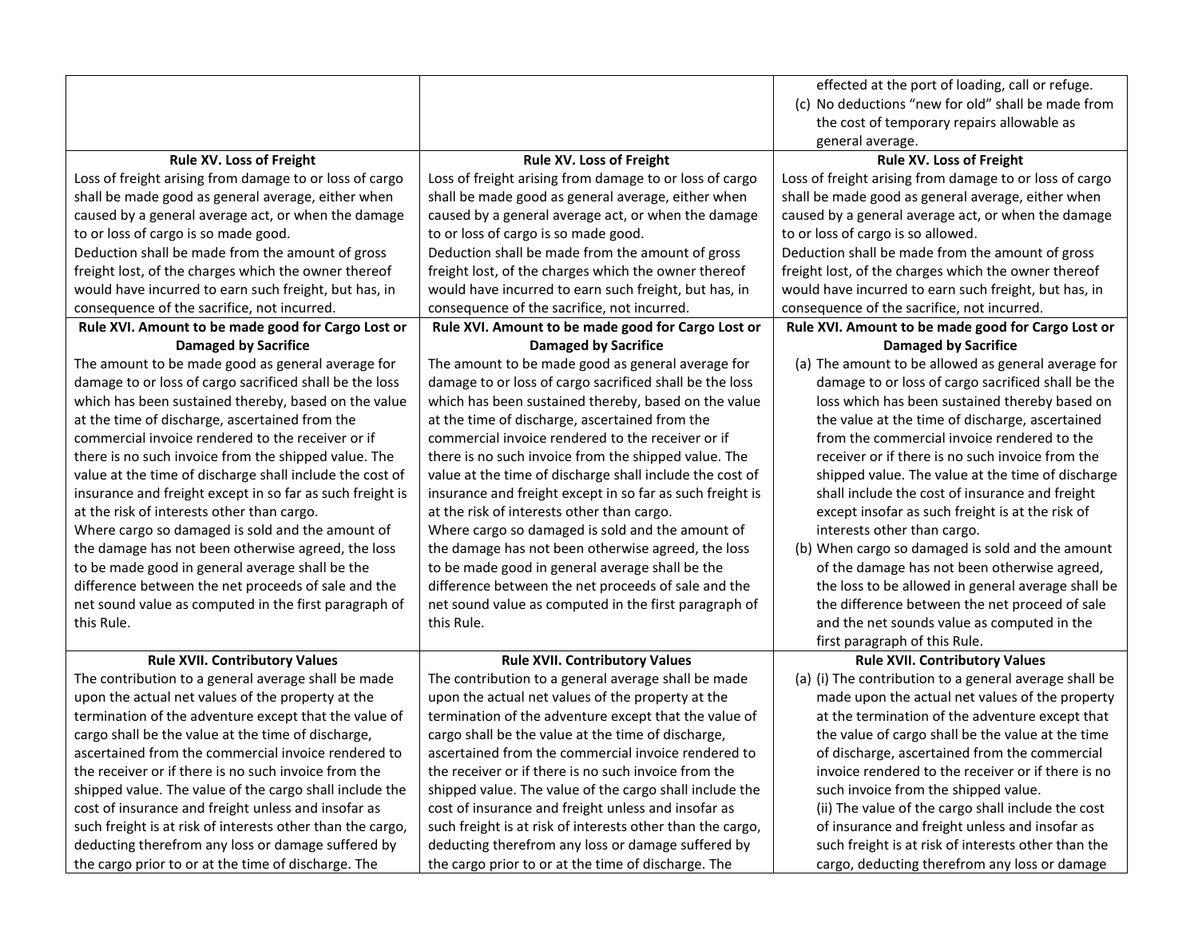|                                                            |                                                            | effected at the port of loading, call or refuge.        |
|------------------------------------------------------------|------------------------------------------------------------|---------------------------------------------------------|
|                                                            |                                                            | (c) No deductions "new for old" shall be made from      |
|                                                            |                                                            | the cost of temporary repairs allowable as              |
|                                                            |                                                            | general average.                                        |
| Rule XV. Loss of Freight                                   | Rule XV. Loss of Freight                                   | Rule XV. Loss of Freight                                |
| Loss of freight arising from damage to or loss of cargo    | Loss of freight arising from damage to or loss of cargo    | Loss of freight arising from damage to or loss of cargo |
| shall be made good as general average, either when         | shall be made good as general average, either when         | shall be made good as general average, either when      |
| caused by a general average act, or when the damage        | caused by a general average act, or when the damage        | caused by a general average act, or when the damage     |
| to or loss of cargo is so made good.                       | to or loss of cargo is so made good.                       | to or loss of cargo is so allowed.                      |
| Deduction shall be made from the amount of gross           | Deduction shall be made from the amount of gross           | Deduction shall be made from the amount of gross        |
| freight lost, of the charges which the owner thereof       | freight lost, of the charges which the owner thereof       | freight lost, of the charges which the owner thereof    |
| would have incurred to earn such freight, but has, in      | would have incurred to earn such freight, but has, in      | would have incurred to earn such freight, but has, in   |
| consequence of the sacrifice, not incurred.                | consequence of the sacrifice, not incurred.                | consequence of the sacrifice, not incurred.             |
| Rule XVI. Amount to be made good for Cargo Lost or         | Rule XVI. Amount to be made good for Cargo Lost or         | Rule XVI. Amount to be made good for Cargo Lost or      |
| <b>Damaged by Sacrifice</b>                                | <b>Damaged by Sacrifice</b>                                | <b>Damaged by Sacrifice</b>                             |
| The amount to be made good as general average for          | The amount to be made good as general average for          | (a) The amount to be allowed as general average for     |
| damage to or loss of cargo sacrificed shall be the loss    | damage to or loss of cargo sacrificed shall be the loss    | damage to or loss of cargo sacrificed shall be the      |
| which has been sustained thereby, based on the value       | which has been sustained thereby, based on the value       | loss which has been sustained thereby based on          |
| at the time of discharge, ascertained from the             | at the time of discharge, ascertained from the             | the value at the time of discharge, ascertained         |
| commercial invoice rendered to the receiver or if          | commercial invoice rendered to the receiver or if          | from the commercial invoice rendered to the             |
| there is no such invoice from the shipped value. The       | there is no such invoice from the shipped value. The       | receiver or if there is no such invoice from the        |
| value at the time of discharge shall include the cost of   | value at the time of discharge shall include the cost of   | shipped value. The value at the time of discharge       |
| insurance and freight except in so far as such freight is  | insurance and freight except in so far as such freight is  | shall include the cost of insurance and freight         |
| at the risk of interests other than cargo.                 | at the risk of interests other than cargo.                 | except insofar as such freight is at the risk of        |
| Where cargo so damaged is sold and the amount of           | Where cargo so damaged is sold and the amount of           | interests other than cargo.                             |
| the damage has not been otherwise agreed, the loss         | the damage has not been otherwise agreed, the loss         | (b) When cargo so damaged is sold and the amount        |
| to be made good in general average shall be the            | to be made good in general average shall be the            | of the damage has not been otherwise agreed,            |
| difference between the net proceeds of sale and the        | difference between the net proceeds of sale and the        | the loss to be allowed in general average shall be      |
| net sound value as computed in the first paragraph of      | net sound value as computed in the first paragraph of      | the difference between the net proceed of sale          |
| this Rule.                                                 | this Rule.                                                 | and the net sounds value as computed in the             |
|                                                            |                                                            | first paragraph of this Rule.                           |
| <b>Rule XVII. Contributory Values</b>                      | <b>Rule XVII. Contributory Values</b>                      | <b>Rule XVII. Contributory Values</b>                   |
| The contribution to a general average shall be made        | The contribution to a general average shall be made        | (a) (i) The contribution to a general average shall be  |
| upon the actual net values of the property at the          | upon the actual net values of the property at the          | made upon the actual net values of the property         |
| termination of the adventure except that the value of      | termination of the adventure except that the value of      | at the termination of the adventure except that         |
| cargo shall be the value at the time of discharge,         | cargo shall be the value at the time of discharge,         | the value of cargo shall be the value at the time       |
| ascertained from the commercial invoice rendered to        | ascertained from the commercial invoice rendered to        | of discharge, ascertained from the commercial           |
| the receiver or if there is no such invoice from the       | the receiver or if there is no such invoice from the       | invoice rendered to the receiver or if there is no      |
| shipped value. The value of the cargo shall include the    | shipped value. The value of the cargo shall include the    | such invoice from the shipped value.                    |
| cost of insurance and freight unless and insofar as        | cost of insurance and freight unless and insofar as        | (ii) The value of the cargo shall include the cost      |
| such freight is at risk of interests other than the cargo, | such freight is at risk of interests other than the cargo, | of insurance and freight unless and insofar as          |
| deducting therefrom any loss or damage suffered by         | deducting therefrom any loss or damage suffered by         | such freight is at risk of interests other than the     |
| the cargo prior to or at the time of discharge. The        | the cargo prior to or at the time of discharge. The        | cargo, deducting therefrom any loss or damage           |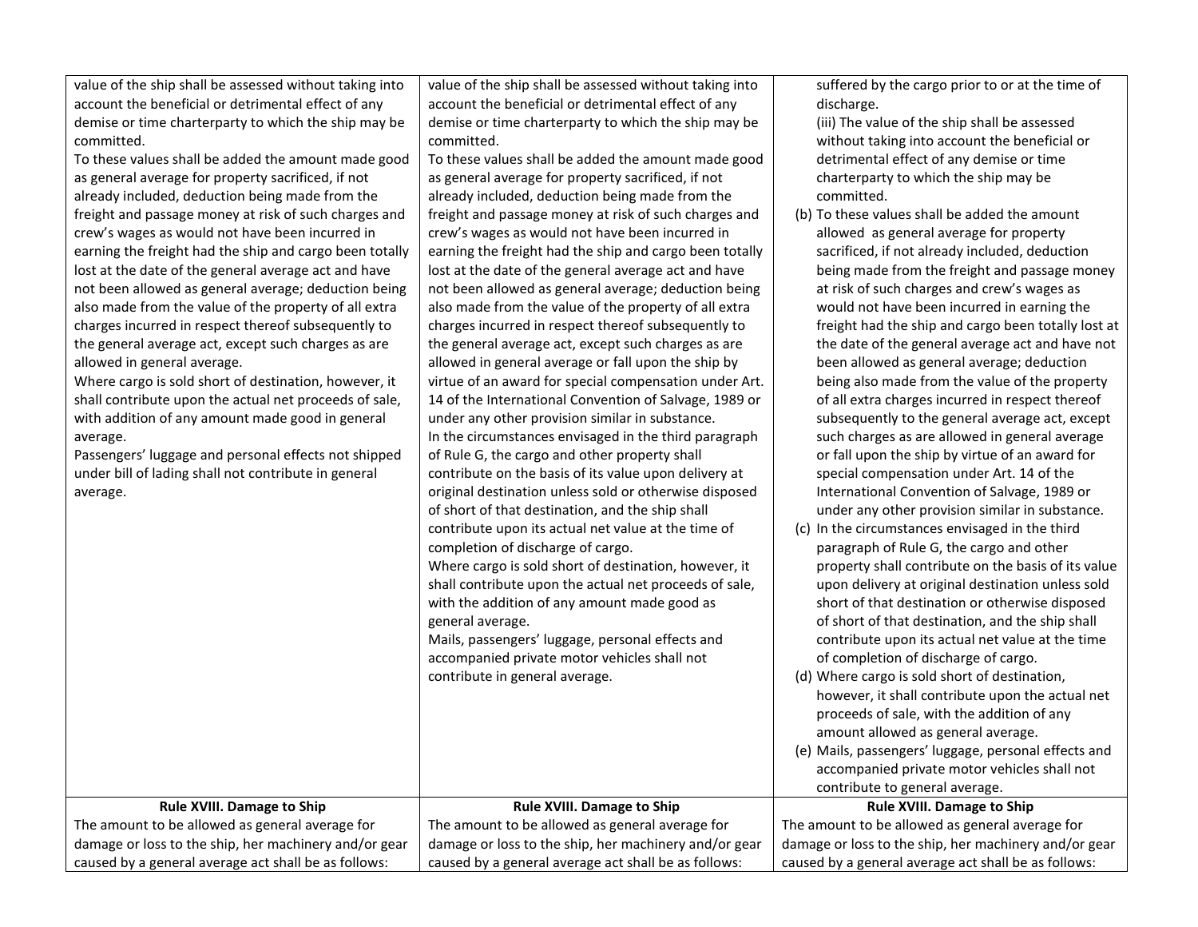value of the ship shall be assessed without taking into account the beneficial or detrimental effect of any demise or time charterparty to which the ship may be committed.

To these values shall be added the amount made good as general average for property sacrificed, if not already included, deduction being made from the freight and passage money at risk of such charges and crew's wages as would not have been incurred in earning the freight had the ship and cargo been totally lost at the date of the general average act and have not been allowed as general average; deduction being also made from the value of the property of all extra charges incurred in respect thereof subsequently to the general average act, except such charges as are allowed in general average.

Where cargo is sold short of destination, however, it shall contribute upon the actual net proceeds of sale, with addition of any amount made good in general average.

Passengers' luggage and personal effects not shipped under bill of lading shall not contribute in general average.

value of the ship shall be assessed without taking into account the beneficial or detrimental effect of any demise or time charterparty to which the ship may be committed.

To these values shall be added the amount made good as general average for property sacrificed, if not already included, deduction being made from the freight and passage money at risk of such charges and crew's wages as would not have been incurred in earning the freight had the ship and cargo been totally lost at the date of the general average act and have not been allowed as general average; deduction being also made from the value of the property of all extra charges incurred in respect thereof subsequently to the general average act, except such charges as are allowed in general average or fall upon the ship by virtue of an award for special compensation under Art. 14 of the International Convention of Salvage, 1989 or under any other provision similar in substance. In the circumstances envisaged in the third paragraph of Rule G, the cargo and other property shall contribute on the basis of its value upon delivery at original destination unless sold or otherwise disposed of short of that destination, and the ship shall contribute upon its actual net value at the time of completion of discharge of cargo. Where cargo is sold short of destination, however, it shall contribute upon the actual net proceeds of sale,

with the addition of any amount made good as general average.

Mails, passengers' luggage, personal effects and accompanied private motor vehicles shall not contribute in general average.

suffered by the cargo prior to or at the time of discharge.

(iii) The value of the ship shall be assessed without taking into account the beneficial or detrimental effect of any demise or time charterparty to which the ship may be committed.

- (b) To these values shall be added the amount allowed as general average for property sacrificed, if not already included, deduction being made from the freight and passage money at risk of such charges and crew's wages as would not have been incurred in earning the freight had the ship and cargo been totally lost at the date of the general average act and have not been allowed as general average; deduction being also made from the value of the property of all extra charges incurred in respect thereof subsequently to the general average act, except such charges as are allowed in general average or fall upon the ship by virtue of an award for special compensation under Art. 14 of the International Convention of Salvage, 1989 or under any other provision similar in substance. (c) In the circumstances envisaged in the third paragraph of Rule G, the cargo and other property shall contribute on the basis of its value
- upon delivery at original destination unless sold short of that destination or otherwise disposed of short of that destination, and the ship shall contribute upon its actual net value at the time of completion of discharge of cargo.
- (d) Where cargo is sold short of destination, however, it shall contribute upon the actual net proceeds of sale, with the addition of any amount allowed as general average.
- (e) Mails, passengers' luggage, personal effects and accompanied private motor vehicles shall not contribute to general average.

|                                                       |                                                       | continuate to general average.                        |
|-------------------------------------------------------|-------------------------------------------------------|-------------------------------------------------------|
| <b>Rule XVIII. Damage to Ship</b>                     | <b>Rule XVIII. Damage to Ship</b>                     | <b>Rule XVIII. Damage to Ship</b>                     |
| The amount to be allowed as general average for       | The amount to be allowed as general average for       | The amount to be allowed as general average for       |
| damage or loss to the ship, her machinery and/or gear | damage or loss to the ship, her machinery and/or gear | damage or loss to the ship, her machinery and/or gear |
| caused by a general average act shall be as follows:  | caused by a general average act shall be as follows:  | caused by a general average act shall be as follows:  |
|                                                       |                                                       |                                                       |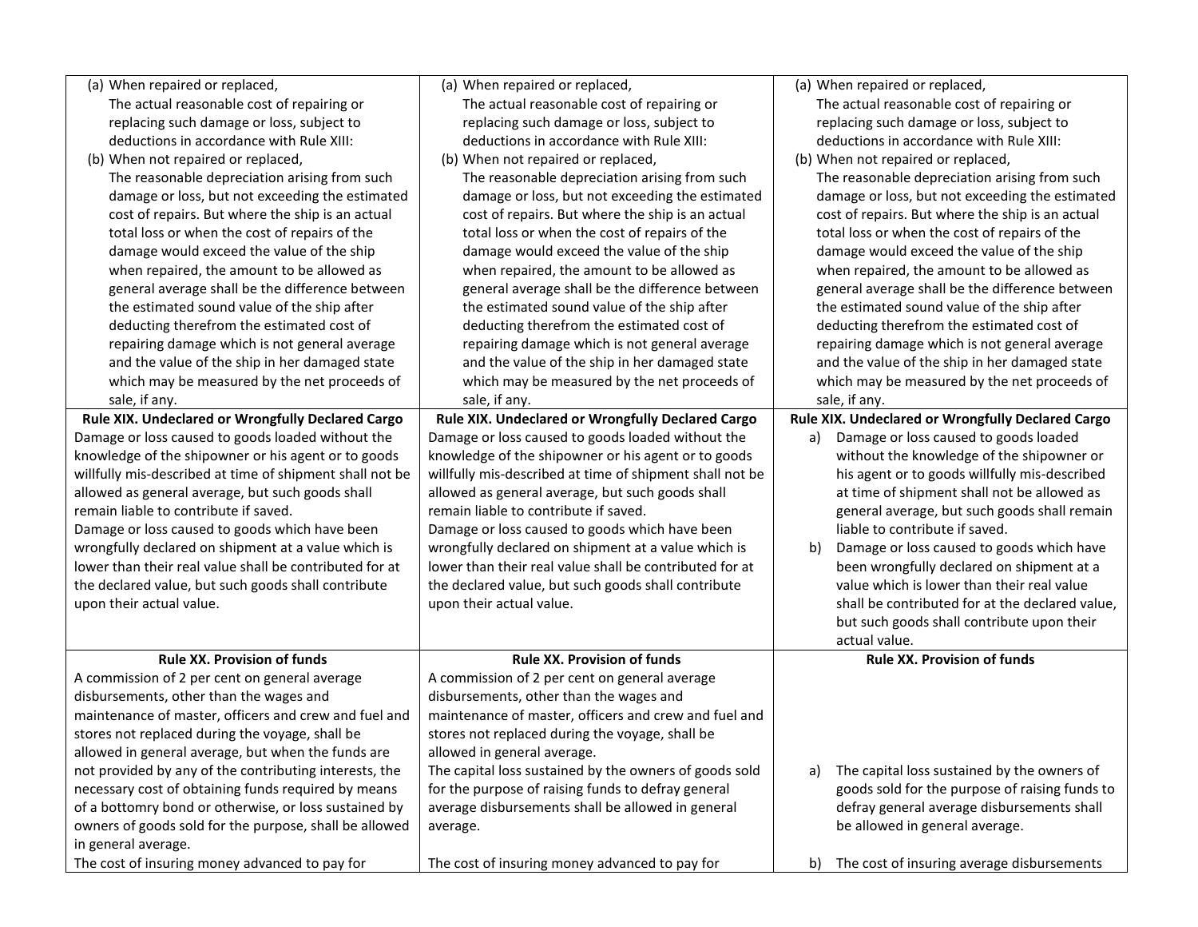| (a) When repaired or replaced,                           | (a) When repaired or replaced,                           | (a) When repaired or replaced,                    |
|----------------------------------------------------------|----------------------------------------------------------|---------------------------------------------------|
| The actual reasonable cost of repairing or               | The actual reasonable cost of repairing or               | The actual reasonable cost of repairing or        |
| replacing such damage or loss, subject to                | replacing such damage or loss, subject to                | replacing such damage or loss, subject to         |
| deductions in accordance with Rule XIII:                 | deductions in accordance with Rule XIII:                 | deductions in accordance with Rule XIII:          |
| (b) When not repaired or replaced,                       | (b) When not repaired or replaced,                       | (b) When not repaired or replaced,                |
| The reasonable depreciation arising from such            | The reasonable depreciation arising from such            | The reasonable depreciation arising from such     |
| damage or loss, but not exceeding the estimated          | damage or loss, but not exceeding the estimated          | damage or loss, but not exceeding the estimated   |
| cost of repairs. But where the ship is an actual         | cost of repairs. But where the ship is an actual         | cost of repairs. But where the ship is an actual  |
| total loss or when the cost of repairs of the            | total loss or when the cost of repairs of the            | total loss or when the cost of repairs of the     |
| damage would exceed the value of the ship                | damage would exceed the value of the ship                | damage would exceed the value of the ship         |
| when repaired, the amount to be allowed as               | when repaired, the amount to be allowed as               | when repaired, the amount to be allowed as        |
| general average shall be the difference between          | general average shall be the difference between          | general average shall be the difference between   |
| the estimated sound value of the ship after              | the estimated sound value of the ship after              | the estimated sound value of the ship after       |
| deducting therefrom the estimated cost of                | deducting therefrom the estimated cost of                | deducting therefrom the estimated cost of         |
| repairing damage which is not general average            | repairing damage which is not general average            | repairing damage which is not general average     |
| and the value of the ship in her damaged state           | and the value of the ship in her damaged state           | and the value of the ship in her damaged state    |
| which may be measured by the net proceeds of             | which may be measured by the net proceeds of             | which may be measured by the net proceeds of      |
| sale, if any.                                            | sale, if any.                                            | sale, if any.                                     |
| Rule XIX. Undeclared or Wrongfully Declared Cargo        | Rule XIX. Undeclared or Wrongfully Declared Cargo        | Rule XIX. Undeclared or Wrongfully Declared Cargo |
| Damage or loss caused to goods loaded without the        | Damage or loss caused to goods loaded without the        | Damage or loss caused to goods loaded<br>a)       |
| knowledge of the shipowner or his agent or to goods      | knowledge of the shipowner or his agent or to goods      | without the knowledge of the shipowner or         |
| willfully mis-described at time of shipment shall not be | willfully mis-described at time of shipment shall not be | his agent or to goods willfully mis-described     |
| allowed as general average, but such goods shall         | allowed as general average, but such goods shall         | at time of shipment shall not be allowed as       |
| remain liable to contribute if saved.                    | remain liable to contribute if saved.                    | general average, but such goods shall remain      |
| Damage or loss caused to goods which have been           | Damage or loss caused to goods which have been           | liable to contribute if saved.                    |
| wrongfully declared on shipment at a value which is      | wrongfully declared on shipment at a value which is      | Damage or loss caused to goods which have<br>b)   |
| lower than their real value shall be contributed for at  | lower than their real value shall be contributed for at  | been wrongfully declared on shipment at a         |
| the declared value, but such goods shall contribute      | the declared value, but such goods shall contribute      | value which is lower than their real value        |
| upon their actual value.                                 | upon their actual value.                                 | shall be contributed for at the declared value,   |
|                                                          |                                                          | but such goods shall contribute upon their        |
|                                                          |                                                          | actual value.                                     |
| <b>Rule XX. Provision of funds</b>                       | <b>Rule XX. Provision of funds</b>                       | <b>Rule XX. Provision of funds</b>                |
| A commission of 2 per cent on general average            | A commission of 2 per cent on general average            |                                                   |
| disbursements, other than the wages and                  | disbursements, other than the wages and                  |                                                   |
| maintenance of master, officers and crew and fuel and    | maintenance of master, officers and crew and fuel and    |                                                   |
| stores not replaced during the voyage, shall be          | stores not replaced during the voyage, shall be          |                                                   |
| allowed in general average, but when the funds are       | allowed in general average.                              |                                                   |
| not provided by any of the contributing interests, the   | The capital loss sustained by the owners of goods sold   | The capital loss sustained by the owners of<br>a) |
| necessary cost of obtaining funds required by means      | for the purpose of raising funds to defray general       | goods sold for the purpose of raising funds to    |
| of a bottomry bond or otherwise, or loss sustained by    | average disbursements shall be allowed in general        | defray general average disbursements shall        |
| owners of goods sold for the purpose, shall be allowed   | average.                                                 | be allowed in general average.                    |
| in general average.                                      |                                                          |                                                   |
| The cost of insuring money advanced to pay for           | The cost of insuring money advanced to pay for           | The cost of insuring average disbursements<br>b)  |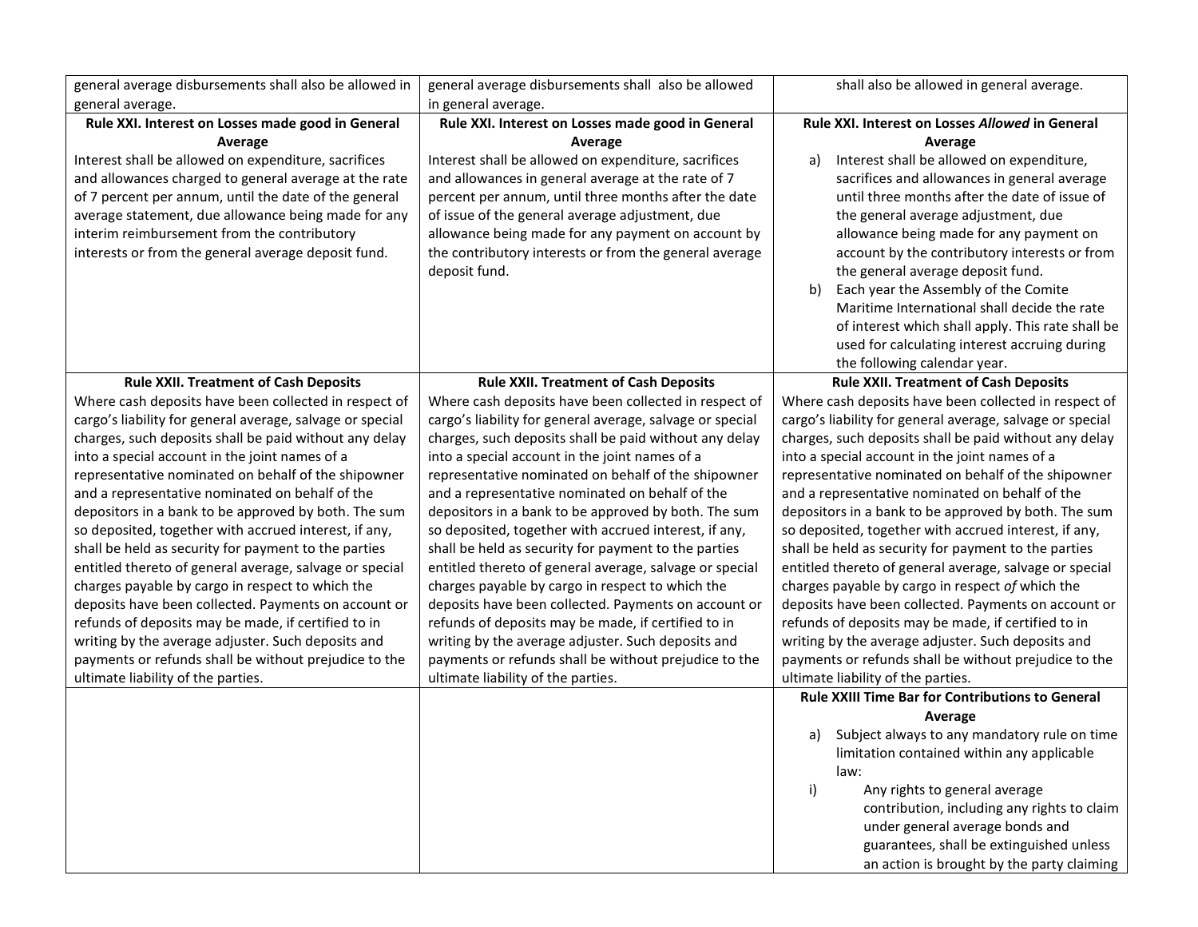| general average disbursements shall also be allowed in    | general average disbursements shall also be allowed       | shall also be allowed in general average.                 |  |
|-----------------------------------------------------------|-----------------------------------------------------------|-----------------------------------------------------------|--|
| general average.                                          | in general average.                                       |                                                           |  |
| Rule XXI. Interest on Losses made good in General         | Rule XXI. Interest on Losses made good in General         | Rule XXI. Interest on Losses Allowed in General           |  |
| Average                                                   | Average                                                   | Average                                                   |  |
| Interest shall be allowed on expenditure, sacrifices      | Interest shall be allowed on expenditure, sacrifices      | Interest shall be allowed on expenditure,<br>a)           |  |
| and allowances charged to general average at the rate     | and allowances in general average at the rate of 7        | sacrifices and allowances in general average              |  |
| of 7 percent per annum, until the date of the general     | percent per annum, until three months after the date      | until three months after the date of issue of             |  |
| average statement, due allowance being made for any       | of issue of the general average adjustment, due           | the general average adjustment, due                       |  |
| interim reimbursement from the contributory               | allowance being made for any payment on account by        | allowance being made for any payment on                   |  |
| interests or from the general average deposit fund.       | the contributory interests or from the general average    | account by the contributory interests or from             |  |
|                                                           | deposit fund.                                             | the general average deposit fund.                         |  |
|                                                           |                                                           | b)<br>Each year the Assembly of the Comite                |  |
|                                                           |                                                           | Maritime International shall decide the rate              |  |
|                                                           |                                                           | of interest which shall apply. This rate shall be         |  |
|                                                           |                                                           | used for calculating interest accruing during             |  |
|                                                           |                                                           | the following calendar year.                              |  |
| <b>Rule XXII. Treatment of Cash Deposits</b>              | <b>Rule XXII. Treatment of Cash Deposits</b>              | Rule XXII. Treatment of Cash Deposits                     |  |
| Where cash deposits have been collected in respect of     | Where cash deposits have been collected in respect of     | Where cash deposits have been collected in respect of     |  |
| cargo's liability for general average, salvage or special | cargo's liability for general average, salvage or special | cargo's liability for general average, salvage or special |  |
| charges, such deposits shall be paid without any delay    | charges, such deposits shall be paid without any delay    | charges, such deposits shall be paid without any delay    |  |
| into a special account in the joint names of a            | into a special account in the joint names of a            | into a special account in the joint names of a            |  |
| representative nominated on behalf of the shipowner       | representative nominated on behalf of the shipowner       | representative nominated on behalf of the shipowner       |  |
| and a representative nominated on behalf of the           | and a representative nominated on behalf of the           | and a representative nominated on behalf of the           |  |
| depositors in a bank to be approved by both. The sum      | depositors in a bank to be approved by both. The sum      | depositors in a bank to be approved by both. The sum      |  |
| so deposited, together with accrued interest, if any,     | so deposited, together with accrued interest, if any,     | so deposited, together with accrued interest, if any,     |  |
| shall be held as security for payment to the parties      | shall be held as security for payment to the parties      | shall be held as security for payment to the parties      |  |
| entitled thereto of general average, salvage or special   | entitled thereto of general average, salvage or special   | entitled thereto of general average, salvage or special   |  |
| charges payable by cargo in respect to which the          | charges payable by cargo in respect to which the          | charges payable by cargo in respect of which the          |  |
| deposits have been collected. Payments on account or      | deposits have been collected. Payments on account or      | deposits have been collected. Payments on account or      |  |
| refunds of deposits may be made, if certified to in       | refunds of deposits may be made, if certified to in       | refunds of deposits may be made, if certified to in       |  |
| writing by the average adjuster. Such deposits and        | writing by the average adjuster. Such deposits and        | writing by the average adjuster. Such deposits and        |  |
| payments or refunds shall be without prejudice to the     | payments or refunds shall be without prejudice to the     | payments or refunds shall be without prejudice to the     |  |
| ultimate liability of the parties.                        | ultimate liability of the parties.                        | ultimate liability of the parties.                        |  |
|                                                           |                                                           | Rule XXIII Time Bar for Contributions to General          |  |
|                                                           |                                                           | Average                                                   |  |
|                                                           |                                                           | Subject always to any mandatory rule on time<br>a)        |  |
|                                                           |                                                           | limitation contained within any applicable                |  |
|                                                           |                                                           | law:                                                      |  |
|                                                           |                                                           | i)<br>Any rights to general average                       |  |
|                                                           |                                                           | contribution, including any rights to claim               |  |
|                                                           |                                                           | under general average bonds and                           |  |
|                                                           |                                                           | guarantees, shall be extinguished unless                  |  |
|                                                           |                                                           | an action is brought by the party claiming                |  |